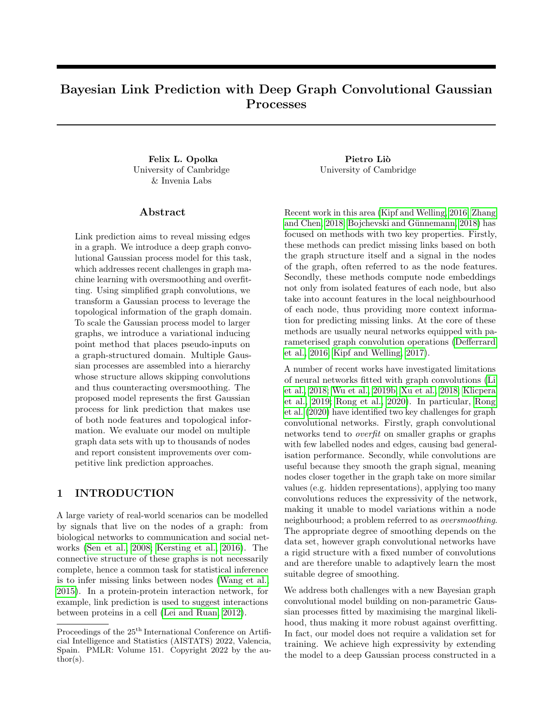# Bayesian Link Prediction with Deep Graph Convolutional Gaussian Processes

Felix L. Opolka Pietro Liò University of Cambridge & Invenia Labs

#### Abstract

Link prediction aims to reveal missing edges in a graph. We introduce a deep graph convolutional Gaussian process model for this task, which addresses recent challenges in graph machine learning with oversmoothing and overfitting. Using simplified graph convolutions, we transform a Gaussian process to leverage the topological information of the graph domain. To scale the Gaussian process model to larger graphs, we introduce a variational inducing point method that places pseudo-inputs on a graph-structured domain. Multiple Gaussian processes are assembled into a hierarchy whose structure allows skipping convolutions and thus counteracting oversmoothing. The proposed model represents the first Gaussian process for link prediction that makes use of both node features and topological information. We evaluate our model on multiple graph data sets with up to thousands of nodes and report consistent improvements over competitive link prediction approaches.

## 1 INTRODUCTION

A large variety of real-world scenarios can be modelled by signals that live on the nodes of a graph: from biological networks to communication and social networks [\(Sen et al., 2008;](#page-10-0) [Kersting et al., 2016\)](#page-9-0). The connective structure of these graphs is not necessarily complete, hence a common task for statistical inference is to infer missing links between nodes [\(Wang et al.,](#page-10-1) [2015\)](#page-10-1). In a protein-protein interaction network, for example, link prediction is used to suggest interactions between proteins in a cell [\(Lei and Ruan, 2012\)](#page-9-1).

University of Cambridge

Recent work in this area [\(Kipf and Welling, 2016;](#page-9-2) [Zhang](#page-10-2) [and Chen, 2018;](#page-10-2) Bojchevski and Günnemann, 2018) has focused on methods with two key properties. Firstly, these methods can predict missing links based on both the graph structure itself and a signal in the nodes of the graph, often referred to as the node features. Secondly, these methods compute node embeddings not only from isolated features of each node, but also take into account features in the local neighbourhood of each node, thus providing more context information for predicting missing links. At the core of these methods are usually neural networks equipped with parameterised graph convolution operations [\(Defferrard](#page-8-1) [et al., 2016;](#page-8-1) [Kipf and Welling, 2017\)](#page-9-3).

A number of recent works have investigated limitations of neural networks fitted with graph convolutions [\(Li](#page-9-4) [et al., 2018;](#page-9-4) [Wu et al., 2019b;](#page-10-3) [Xu et al., 2018;](#page-10-4) [Klicpera](#page-9-5) [et al., 2019;](#page-9-5) [Rong et al., 2020\)](#page-9-6). In particular, [Rong](#page-9-6) [et al.](#page-9-6) [\(2020\)](#page-9-6) have identified two key challenges for graph convolutional networks. Firstly, graph convolutional networks tend to overfit on smaller graphs or graphs with few labelled nodes and edges, causing bad generalisation performance. Secondly, while convolutions are useful because they smooth the graph signal, meaning nodes closer together in the graph take on more similar values (e.g. hidden representations), applying too many convolutions reduces the expressivity of the network, making it unable to model variations within a node neighbourhood; a problem referred to as oversmoothing. The appropriate degree of smoothing depends on the data set, however graph convolutional networks have a rigid structure with a fixed number of convolutions and are therefore unable to adaptively learn the most suitable degree of smoothing.

We address both challenges with a new Bayesian graph convolutional model building on non-parametric Gaussian processes fitted by maximising the marginal likelihood, thus making it more robust against overfitting. In fact, our model does not require a validation set for training. We achieve high expressivity by extending the model to a deep Gaussian process constructed in a

Proceedings of the  $25^{\text{th}}$  International Conference on Artificial Intelligence and Statistics (AISTATS) 2022, Valencia, Spain. PMLR: Volume 151. Copyright 2022 by the au- $\text{thor}(s)$ .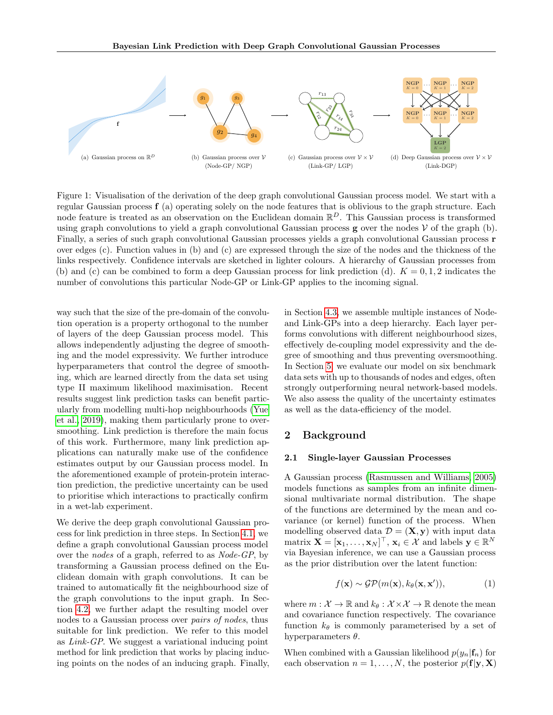<span id="page-1-0"></span>

Figure 1: Visualisation of the derivation of the deep graph convolutional Gaussian process model. We start with a regular Gaussian process  $f(a)$  operating solely on the node features that is oblivious to the graph structure. Each node feature is treated as an observation on the Euclidean domain  $\mathbb{R}^D$ . This Gaussian process is transformed using graph convolutions to yield a graph convolutional Gaussian process  $g$  over the nodes  $V$  of the graph (b). Finally, a series of such graph convolutional Gaussian processes yields a graph convolutional Gaussian process r over edges (c). Function values in (b) and (c) are expressed through the size of the nodes and the thickness of the links respectively. Confidence intervals are sketched in lighter colours. A hierarchy of Gaussian processes from (b) and (c) can be combined to form a deep Gaussian process for link prediction (d).  $K = 0, 1, 2$  indicates the number of convolutions this particular Node-GP or Link-GP applies to the incoming signal.

way such that the size of the pre-domain of the convolution operation is a property orthogonal to the number of layers of the deep Gaussian process model. This allows independently adjusting the degree of smoothing and the model expressivity. We further introduce hyperparameters that control the degree of smoothing, which are learned directly from the data set using type II maximum likelihood maximisation. Recent results suggest link prediction tasks can benefit particularly from modelling multi-hop neighbourhoods [\(Yue](#page-10-5) [et al., 2019\)](#page-10-5), making them particularly prone to oversmoothing. Link prediction is therefore the main focus of this work. Furthermore, many link prediction applications can naturally make use of the confidence estimates output by our Gaussian process model. In the aforementioned example of protein-protein interaction prediction, the predictive uncertainty can be used to prioritise which interactions to practically confirm in a wet-lab experiment.

We derive the deep graph convolutional Gaussian process for link prediction in three steps. In Section [4.1,](#page-3-0) we define a graph convolutional Gaussian process model over the nodes of a graph, referred to as Node-GP, by transforming a Gaussian process defined on the Euclidean domain with graph convolutions. It can be trained to automatically fit the neighbourhood size of the graph convolutions to the input graph. In Section [4.2,](#page-4-0) we further adapt the resulting model over nodes to a Gaussian process over pairs of nodes, thus suitable for link prediction. We refer to this model as Link-GP. We suggest a variational inducing point method for link prediction that works by placing inducing points on the nodes of an inducing graph. Finally, in Section [4.3,](#page-5-0) we assemble multiple instances of Nodeand Link-GPs into a deep hierarchy. Each layer performs convolutions with different neighbourhood sizes, effectively de-coupling model expressivity and the degree of smoothing and thus preventing oversmoothing. In Section [5,](#page-6-0) we evaluate our model on six benchmark data sets with up to thousands of nodes and edges, often strongly outperforming neural network-based models. We also assess the quality of the uncertainty estimates as well as the data-efficiency of the model.

## 2 Background

#### 2.1 Single-layer Gaussian Processes

A Gaussian process [\(Rasmussen and Williams, 2005\)](#page-9-7) models functions as samples from an infinite dimensional multivariate normal distribution. The shape of the functions are determined by the mean and covariance (or kernel) function of the process. When modelling observed data  $\mathcal{D} = (\mathbf{X}, \mathbf{y})$  with input data  $\text{matrix } \mathbf{X} = [\mathbf{x}_1, \dots, \mathbf{x}_N]^\top, \, \mathbf{x}_i \in \mathcal{X} \text{ and labels } \mathbf{y} \in \mathbb{R}^N$ via Bayesian inference, we can use a Gaussian process as the prior distribution over the latent function:

$$
f(\mathbf{x}) \sim \mathcal{GP}(m(\mathbf{x}), k_{\theta}(\mathbf{x}, \mathbf{x}')), \qquad (1)
$$

where  $m : \mathcal{X} \to \mathbb{R}$  and  $k_{\theta} : \mathcal{X} \times \mathcal{X} \to \mathbb{R}$  denote the mean and covariance function respectively. The covariance function  $k_{\theta}$  is commonly parameterised by a set of hyperparameters  $\theta$ .

When combined with a Gaussian likelihood  $p(y_n|\mathbf{f}_n)$  for each observation  $n = 1, ..., N$ , the posterior  $p(\mathbf{f}|\mathbf{y}, \mathbf{X})$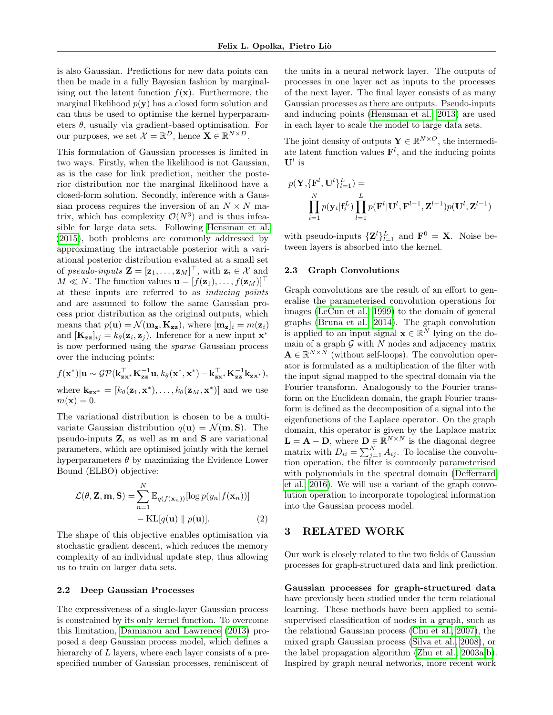is also Gaussian. Predictions for new data points can then be made in a fully Bayesian fashion by marginalising out the latent function  $f(\mathbf{x})$ . Furthermore, the marginal likelihood  $p(y)$  has a closed form solution and can thus be used to optimise the kernel hyperparameters  $\theta$ , usually via gradient-based optimisation. For our purposes, we set  $\mathcal{X} = \mathbb{R}^D$ , hence  $\mathbf{X} \in \mathbb{R}^{N \times D}$ .

This formulation of Gaussian processes is limited in two ways. Firstly, when the likelihood is not Gaussian, as is the case for link prediction, neither the posterior distribution nor the marginal likelihood have a closed-form solution. Secondly, inference with a Gaussian process requires the inversion of an  $N \times N$  matrix, which has complexity  $\mathcal{O}(N^3)$  and is thus infeasible for large data sets. Following [Hensman et al.](#page-9-8) [\(2015\)](#page-9-8), both problems are commonly addressed by approximating the intractable posterior with a variational posterior distribution evaluated at a small set of pseudo-inputs  $\mathbf{Z} = [\mathbf{z}_1, \dots, \mathbf{z}_M]^\top$ , with  $\mathbf{z}_i \in \mathcal{X}$  and  $M \ll N$ . The function values  $\mathbf{u} = [f(\mathbf{z}_1), \dots, f(\mathbf{z}_M)]^\top$ at these inputs are referred to as inducing points and are assumed to follow the same Gaussian process prior distribution as the original outputs, which means that  $p(\mathbf{u}) = \mathcal{N}(\mathbf{m}_z, \mathbf{K}_{zz})$ , where  $[\mathbf{m}_z]_i = m(\mathbf{z}_i)$ and  $[\mathbf{K}_{\mathbf{z}\mathbf{z}}]_{ij} = k_{\theta}(\mathbf{z}_i, \mathbf{z}_j)$ . Inference for a new input  $\mathbf{x}^*$ is now performed using the sparse Gaussian process over the inducing points:

 $f(\mathbf{x}^*)|\mathbf{u} \sim \mathcal{GP}(\mathbf{k}_{\mathbf{z}\mathbf{x}^*}^\top \mathbf{K}_{\mathbf{z}\mathbf{z}}^{-1}\mathbf{u}, k_\theta(\mathbf{x}^*, \mathbf{x}^*) - \mathbf{k}_{\mathbf{z}\mathbf{x}^*}^\top \mathbf{K}_{\mathbf{z}\mathbf{z}}^{-1}\mathbf{k}_{\mathbf{z}\mathbf{x}^*}),$ where  $\mathbf{k}_{\mathbf{z}\mathbf{x}^*} = [k_\theta(\mathbf{z}_1, \mathbf{x}^*), \dots, k_\theta(\mathbf{z}_M, \mathbf{x}^*)]$  and we use  $m(\mathbf{x}) = 0.$ 

The variational distribution is chosen to be a multivariate Gaussian distribution  $q(\mathbf{u}) = \mathcal{N}(\mathbf{m}, \mathbf{S})$ . The pseudo-inputs Z, as well as m and S are variational parameters, which are optimised jointly with the kernel hyperparameters  $\theta$  by maximizing the Evidence Lower Bound (ELBO) objective:

$$
\mathcal{L}(\theta, \mathbf{Z}, \mathbf{m}, \mathbf{S}) = \sum_{n=1}^{N} \mathbb{E}_{q(f(\mathbf{x}_n))} [\log p(y_n | f(\mathbf{x}_n))]
$$

$$
- \mathrm{KL}[q(\mathbf{u}) \parallel p(\mathbf{u})]. \tag{2}
$$

The shape of this objective enables optimisation via stochastic gradient descent, which reduces the memory complexity of an individual update step, thus allowing us to train on larger data sets.

#### <span id="page-2-0"></span>2.2 Deep Gaussian Processes

The expressiveness of a single-layer Gaussian process is constrained by its only kernel function. To overcome this limitation, [Damianou and Lawrence](#page-8-2) [\(2013\)](#page-8-2) proposed a deep Gaussian process model, which defines a hierarchy of L layers, where each layer consists of a prespecified number of Gaussian processes, reminiscent of the units in a neural network layer. The outputs of processes in one layer act as inputs to the processes of the next layer. The final layer consists of as many Gaussian processes as there are outputs. Pseudo-inputs and inducing points [\(Hensman et al., 2013\)](#page-9-9) are used in each layer to scale the model to large data sets.

The joint density of outputs  $\mathbf{Y} \in \mathbb{R}^{N \times O}$ , the intermediate latent function values  $\mathbf{F}^{l}$ , and the inducing points  $\mathbf{U}^l$  is

$$
p(\mathbf{Y}, {\{\mathbf{F}^{l}, \mathbf{U}^{l}\}_{l=1}^{L}}) = \prod_{i=1}^{N} p(\mathbf{y}_{i} | \mathbf{f}_{i}^{L}) \prod_{l=1}^{L} p(\mathbf{F}^{l} | \mathbf{U}^{l}, \mathbf{F}^{l-1}, \mathbf{Z}^{l-1}) p(\mathbf{U}^{l}, \mathbf{Z}^{l-1})
$$

with pseudo-inputs  ${\mathbf Z}^l\}_{l=1}^L$  and  ${\mathbf F}^0 = {\mathbf X}$ . Noise between layers is absorbed into the kernel.

#### 2.3 Graph Convolutions

Graph convolutions are the result of an effort to generalise the parameterised convolution operations for images [\(LeCun et al., 1999\)](#page-9-10) to the domain of general graphs [\(Bruna et al., 2014\)](#page-8-3). The graph convolution is applied to an input signal  $\mathbf{x} \in \mathbb{R}^N$  lying on the domain of a graph  $\mathcal G$  with  $N$  nodes and adjacency matrix  $\mathbf{A} \in \mathbb{R}^{N \times N}$  (without self-loops). The convolution operator is formulated as a multiplication of the filter with the input signal mapped to the spectral domain via the Fourier transform. Analogously to the Fourier transform on the Euclidean domain, the graph Fourier transform is defined as the decomposition of a signal into the eigenfunctions of the Laplace operator. On the graph domain, this operator is given by the Laplace matrix  $\mathbf{L} = \mathbf{A} - \mathbf{D}$ , where  $\mathbf{D} \in \mathbb{R}^{N \times N}$  is the diagonal degree matrix with  $D_{ii} = \sum_{j=1}^{N} A_{ij}$ . To localise the convolution operation, the filter is commonly parameterised with polynomials in the spectral domain [\(Defferrard](#page-8-1) [et al., 2016\)](#page-8-1). We will use a variant of the graph convolution operation to incorporate topological information into the Gaussian process model.

#### 3 RELATED WORK

Our work is closely related to the two fields of Gaussian processes for graph-structured data and link prediction.

Gaussian processes for graph-structured data have previously been studied under the term relational learning. These methods have been applied to semisupervised classification of nodes in a graph, such as the relational Gaussian process [\(Chu et al., 2007\)](#page-8-4), the mixed graph Gaussian process [\(Silva et al., 2008\)](#page-10-6), or the label propagation algorithm [\(Zhu et al., 2003a,](#page-10-7)[b\)](#page-10-8). Inspired by graph neural networks, more recent work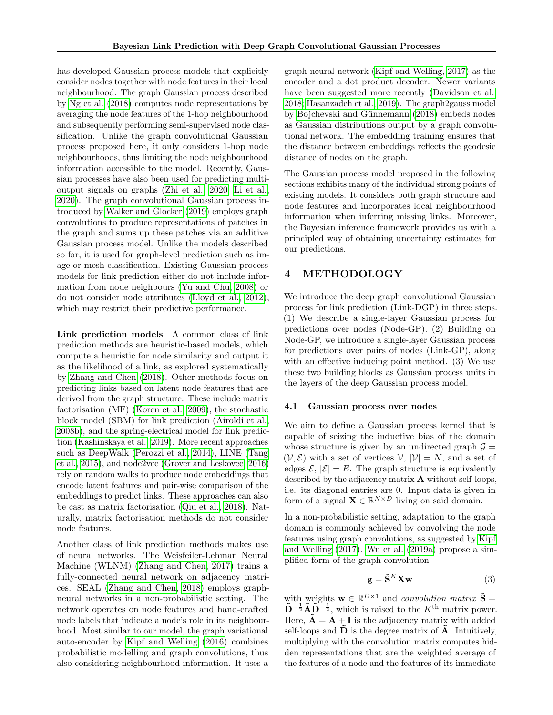has developed Gaussian process models that explicitly consider nodes together with node features in their local neighbourhood. The graph Gaussian process described by [Ng et al.](#page-9-11) [\(2018\)](#page-9-11) computes node representations by averaging the node features of the 1-hop neighbourhood and subsequently performing semi-supervised node classification. Unlike the graph convolutional Gaussian process proposed here, it only considers 1-hop node neighbourhoods, thus limiting the node neighbourhood information accessible to the model. Recently, Gaussian processes have also been used for predicting multioutput signals on graphs [\(Zhi et al., 2020;](#page-10-9) [Li et al.,](#page-9-12) [2020\)](#page-9-12). The graph convolutional Gaussian process introduced by [Walker and Glocker](#page-10-10) [\(2019\)](#page-10-10) employs graph convolutions to produce representations of patches in the graph and sums up these patches via an additive Gaussian process model. Unlike the models described so far, it is used for graph-level prediction such as image or mesh classification. Existing Gaussian process models for link prediction either do not include information from node neighbours [\(Yu and Chu, 2008\)](#page-10-11) or do not consider node attributes [\(Lloyd et al., 2012\)](#page-9-13), which may restrict their predictive performance.

Link prediction models A common class of link prediction methods are heuristic-based models, which compute a heuristic for node similarity and output it as the likelihood of a link, as explored systematically by [Zhang and Chen](#page-10-2) [\(2018\)](#page-10-2). Other methods focus on predicting links based on latent node features that are derived from the graph structure. These include matrix factorisation (MF) [\(Koren et al., 2009\)](#page-9-14), the stochastic block model (SBM) for link prediction [\(Airoldi et al.,](#page-8-5) [2008b\)](#page-8-5), and the spring-electrical model for link prediction [\(Kashinskaya et al., 2019\)](#page-9-15). More recent approaches such as DeepWalk [\(Perozzi et al., 2014\)](#page-9-16), LINE [\(Tang](#page-10-12) [et al., 2015\)](#page-10-12), and node2vec [\(Grover and Leskovec, 2016\)](#page-8-6) rely on random walks to produce node embeddings that encode latent features and pair-wise comparison of the embeddings to predict links. These approaches can also be cast as matrix factorisation [\(Qiu et al., 2018\)](#page-9-17). Naturally, matrix factorisation methods do not consider node features.

Another class of link prediction methods makes use of neural networks. The Weisfeiler-Lehman Neural Machine (WLNM) [\(Zhang and Chen, 2017\)](#page-10-13) trains a fully-connected neural network on adjacency matrices. SEAL [\(Zhang and Chen, 2018\)](#page-10-2) employs graphneural networks in a non-probabilistic setting. The network operates on node features and hand-crafted node labels that indicate a node's role in its neighbourhood. Most similar to our model, the graph variational auto-encoder by [Kipf and Welling](#page-9-2) [\(2016\)](#page-9-2) combines probabilistic modelling and graph convolutions, thus also considering neighbourhood information. It uses a graph neural network [\(Kipf and Welling, 2017\)](#page-9-3) as the encoder and a dot product decoder. Newer variants have been suggested more recently [\(Davidson et al.,](#page-8-7) [2018;](#page-8-7) [Hasanzadeh et al., 2019\)](#page-9-18). The graph2gauss model by Bojchevski and Günnemann [\(2018\)](#page-8-0) embeds nodes as Gaussian distributions output by a graph convolutional network. The embedding training ensures that the distance between embeddings reflects the geodesic distance of nodes on the graph.

The Gaussian process model proposed in the following sections exhibits many of the individual strong points of existing models. It considers both graph structure and node features and incorporates local neighbourhood information when inferring missing links. Moreover, the Bayesian inference framework provides us with a principled way of obtaining uncertainty estimates for our predictions.

### 4 METHODOLOGY

We introduce the deep graph convolutional Gaussian process for link prediction (Link-DGP) in three steps. (1) We describe a single-layer Gaussian process for predictions over nodes (Node-GP). (2) Building on Node-GP, we introduce a single-layer Gaussian process for predictions over pairs of nodes (Link-GP), along with an effective inducing point method. (3) We use these two building blocks as Gaussian process units in the layers of the deep Gaussian process model.

#### <span id="page-3-0"></span>4.1 Gaussian process over nodes

We aim to define a Gaussian process kernel that is capable of seizing the inductive bias of the domain whose structure is given by an undirected graph  $\mathcal{G} =$  $(V, \mathcal{E})$  with a set of vertices  $V, |V| = N$ , and a set of edges  $\mathcal{E}, |\mathcal{E}| = E$ . The graph structure is equivalently described by the adjacency matrix A without self-loops, i.e. its diagonal entries are 0. Input data is given in form of a signal  $\mathbf{X} \in \mathbb{R}^{N \times D}$  living on said domain.

In a non-probabilistic setting, adaptation to the graph domain is commonly achieved by convolving the node features using graph convolutions, as suggested by [Kipf](#page-9-3) [and Welling](#page-9-3) [\(2017\)](#page-9-3). [Wu et al.](#page-10-14) [\(2019a\)](#page-10-14) propose a simplified form of the graph convolution

<span id="page-3-1"></span>
$$
\mathbf{g} = \tilde{\mathbf{S}}^K \mathbf{X} \mathbf{w} \tag{3}
$$

with weights  $\mathbf{w} \in \mathbb{R}^{D\times 1}$  and *convolution matrix*  $\tilde{\mathbf{S}} =$  $\tilde{\mathbf{D}}^{-\frac{1}{2}} \tilde{\mathbf{A}} \tilde{\mathbf{D}}^{-\frac{1}{2}}$ , which is raised to the  $K^{\text{th}}$  matrix power. Here,  $\tilde{\mathbf{A}} = \mathbf{A} + \mathbf{I}$  is the adjacency matrix with added self-loops and  $\tilde{\mathbf{D}}$  is the degree matrix of  $\tilde{\mathbf{A}}$ . Intuitively, multiplying with the convolution matrix computes hidden representations that are the weighted average of the features of a node and the features of its immediate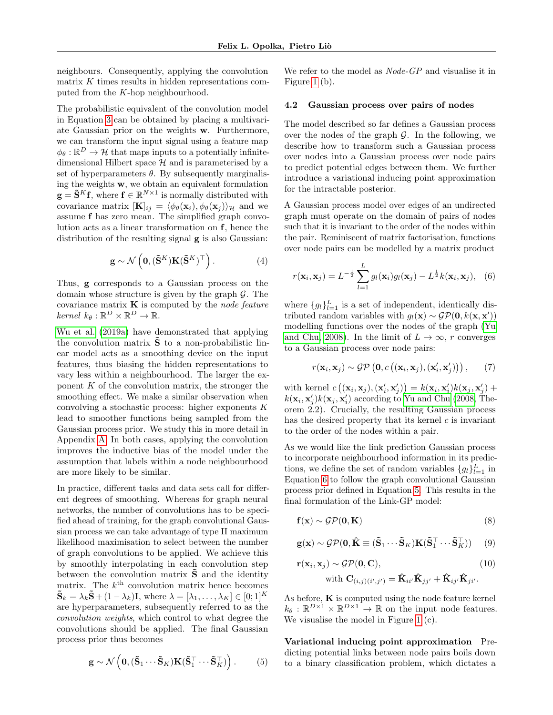neighbours. Consequently, applying the convolution matrix  $K$  times results in hidden representations computed from the K-hop neighbourhood.

The probabilistic equivalent of the convolution model in Equation [3](#page-3-1) can be obtained by placing a multivariate Gaussian prior on the weights w. Furthermore, we can transform the input signal using a feature map  $\phi_{\theta} : \mathbb{R}^D \to \mathcal{H}$  that maps inputs to a potentially infinitedimensional Hilbert space  $\mathcal H$  and is parameterised by a set of hyperparameters  $\theta$ . By subsequently marginalising the weights w, we obtain an equivalent formulation  $\mathbf{g} = \mathbf{\tilde{S}}^K \mathbf{f}$ , where  $\mathbf{f} \in \mathbb{R}^{N \times 1}$  is normally distributed with covariance matrix  $[\mathbf{K}]_{ij} = \langle \phi_{\theta}(\mathbf{x}_i), \phi_{\theta}(\mathbf{x}_j) \rangle_{\mathcal{H}}$  and we assume f has zero mean. The simplified graph convolution acts as a linear transformation on f, hence the distribution of the resulting signal  $g$  is also Gaussian:

$$
\mathbf{g} \sim \mathcal{N}\left(\mathbf{0}, (\mathbf{\tilde{S}}^K)\mathbf{K}(\mathbf{\tilde{S}}^K)^\top\right). \tag{4}
$$

Thus, g corresponds to a Gaussian process on the domain whose structure is given by the graph  $\mathcal{G}$ . The covariance matrix  $\bf{K}$  is computed by the node feature  $\text{kernel } k_{\theta} : \mathbb{R}^D \times \mathbb{R}^D \to \mathbb{R}.$ 

[Wu et al.](#page-10-14) [\(2019a\)](#page-10-14) have demonstrated that applying the convolution matrix  $\hat{\mathbf{S}}$  to a non-probabilistic linear model acts as a smoothing device on the input features, thus biasing the hidden representations to vary less within a neighbourhood. The larger the exponent  $K$  of the convolution matrix, the stronger the smoothing effect. We make a similar observation when convolving a stochastic process: higher exponents  $K$ lead to smoother functions being sampled from the Gaussian process prior. We study this in more detail in Appendix [A.](#page-11-0) In both cases, applying the convolution improves the inductive bias of the model under the assumption that labels within a node neighbourhood are more likely to be similar.

In practice, different tasks and data sets call for different degrees of smoothing. Whereas for graph neural networks, the number of convolutions has to be specified ahead of training, for the graph convolutional Gaussian process we can take advantage of type II maximum likelihood maximisation to select between the number of graph convolutions to be applied. We achieve this by smoothly interpolating in each convolution step between the convolution matrix  $\hat{\mathbf{S}}$  and the identity matrix. The  $k^{\text{th}}$  convolution matrix hence becomes  $\tilde{\mathbf{S}}_k = \lambda_k \tilde{\mathbf{S}} + (1 - \lambda_k)\mathbf{I}$ , where  $\lambda = [\lambda_1, \ldots, \lambda_K] \in [0, 1]^K$ are hyperparameters, subsequently referred to as the convolution weights, which control to what degree the convolutions should be applied. The final Gaussian process prior thus becomes

<span id="page-4-2"></span>
$$
\mathbf{g} \sim \mathcal{N}\left(\mathbf{0}, (\tilde{\mathbf{S}}_1 \cdots \tilde{\mathbf{S}}_K) \mathbf{K} (\tilde{\mathbf{S}}_1^\top \cdots \tilde{\mathbf{S}}_K^\top)\right). \tag{5}
$$

We refer to the model as *Node-GP* and visualise it in Figure [1](#page-1-0) (b).

#### <span id="page-4-0"></span>4.2 Gaussian process over pairs of nodes

The model described so far defines a Gaussian process over the nodes of the graph  $\mathcal{G}$ . In the following, we describe how to transform such a Gaussian process over nodes into a Gaussian process over node pairs to predict potential edges between them. We further introduce a variational inducing point approximation for the intractable posterior.

A Gaussian process model over edges of an undirected graph must operate on the domain of pairs of nodes such that it is invariant to the order of the nodes within the pair. Reminiscent of matrix factorisation, functions over node pairs can be modelled by a matrix product

<span id="page-4-1"></span>
$$
r(\mathbf{x}_i, \mathbf{x}_j) = L^{-\frac{1}{2}} \sum_{l=1}^{L} g_l(\mathbf{x}_i) g_l(\mathbf{x}_j) - L^{\frac{1}{2}} k(\mathbf{x}_i, \mathbf{x}_j), \quad (6)
$$

where  $\{g_l\}_{l=1}^L$  is a set of independent, identically distributed random variables with  $g_l(\mathbf{x}) \sim \mathcal{GP}(\mathbf{0}, k(\mathbf{x}, \mathbf{x}'))$ modelling functions over the nodes of the graph [\(Yu](#page-10-11) [and Chu, 2008\)](#page-10-11). In the limit of  $L \to \infty$ , r converges to a Gaussian process over node pairs:

$$
r(\mathbf{x}_i, \mathbf{x}_j) \sim \mathcal{GP}\left(\mathbf{0}, c\left((\mathbf{x}_i, \mathbf{x}_j), (\mathbf{x}'_i, \mathbf{x}'_j)\right)\right), \qquad (7)
$$

with kernel  $c((\mathbf{x}_i, \mathbf{x}_j),(\mathbf{x}'_i, \mathbf{x}'_j)) = k(\mathbf{x}_i, \mathbf{x}'_i)k(\mathbf{x}_j, \mathbf{x}'_j) +$  $k(\mathbf{x}_i, \mathbf{x}'_j) k(\mathbf{x}_j, \mathbf{x}'_i)$  according to [Yu and Chu](#page-10-11) [\(2008,](#page-10-11) Theorem 2.2). Crucially, the resulting Gaussian process has the desired property that its kernel  $c$  is invariant to the order of the nodes within a pair.

As we would like the link prediction Gaussian process to incorporate neighbourhood information in its predictions, we define the set of random variables  $\{g_l\}_{l=1}^L$  in Equation [6](#page-4-1) to follow the graph convolutional Gaussian process prior defined in Equation [5.](#page-4-2) This results in the final formulation of the Link-GP model:

$$
\mathbf{f}(\mathbf{x}) \sim \mathcal{GP}(\mathbf{0}, \mathbf{K})
$$
\n(8)

$$
\mathbf{g}(\mathbf{x}) \sim \mathcal{GP}(\mathbf{0}, \hat{\mathbf{K}} \equiv (\tilde{\mathbf{S}}_1 \cdots \tilde{\mathbf{S}}_K) \mathbf{K} (\tilde{\mathbf{S}}_1^\top \cdots \tilde{\mathbf{S}}_K^\top)) \qquad (9)
$$

<span id="page-4-3"></span>
$$
\mathbf{r}(\mathbf{x}_i, \mathbf{x}_j) \sim \mathcal{GP}(\mathbf{0}, \mathbf{C}),
$$
  
with 
$$
\mathbf{C}_{(i,j)(i',j')} = \hat{\mathbf{K}}_{ii'} \hat{\mathbf{K}}_{jj'} + \hat{\mathbf{K}}_{ij'} \hat{\mathbf{K}}_{ji'}.
$$
 (10)

As before,  ${\bf K}$  is computed using the node feature kernel  $k_{\theta}: \mathbb{R}^{D\times 1} \times \mathbb{R}^{D\times 1} \to \mathbb{R}$  on the input node features. We visualise the model in Figure [1](#page-1-0) (c).

Variational inducing point approximation Predicting potential links between node pairs boils down to a binary classification problem, which dictates a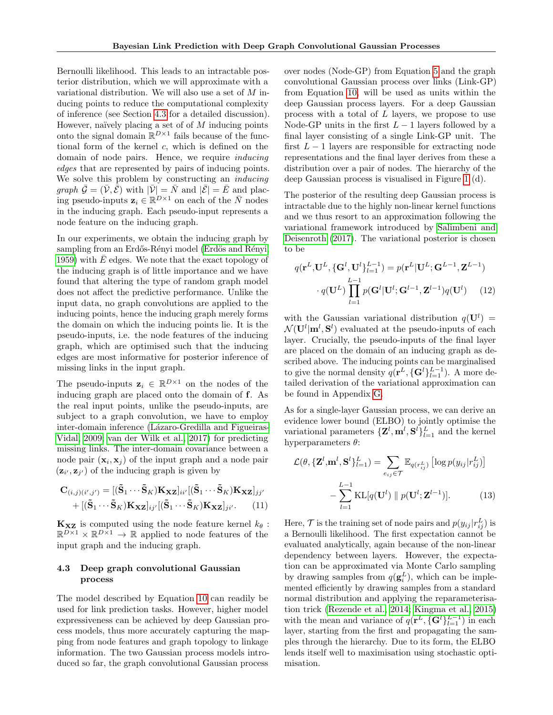Bernoulli likelihood. This leads to an intractable posterior distribution, which we will approximate with a variational distribution. We will also use a set of M inducing points to reduce the computational complexity of inference (see Section [4.3](#page-5-0) for a detailed discussion). However, naïvely placing a set of of  $M$  inducing points onto the signal domain  $\mathbb{R}^{D\times 1}$  fails because of the functional form of the kernel  $c$ , which is defined on the domain of node pairs. Hence, we require inducing edges that are represented by pairs of inducing points. We solve this problem by constructing an inducing *graph*  $\bar{\mathcal{G}} = (\bar{\mathcal{V}}, \bar{\mathcal{E}})$  with  $|\bar{\mathcal{V}}| = \bar{N}$  and  $|\bar{\mathcal{E}}| = \bar{E}$  and placing pseudo-inputs  $\mathbf{z}_i \in \mathbb{R}^{D \times 1}$  on each of the  $\overline{N}$  nodes in the inducing graph. Each pseudo-input represents a node feature on the inducing graph.

In our experiments, we obtain the inducing graph by sampling from an Erdős-Rényi model (Erdös and Rényi, [1959\)](#page-8-8) with  $\bar{E}$  edges. We note that the exact topology of the inducing graph is of little importance and we have found that altering the type of random graph model does not affect the predictive performance. Unlike the input data, no graph convolutions are applied to the inducing points, hence the inducing graph merely forms the domain on which the inducing points lie. It is the pseudo-inputs, i.e. the node features of the inducing graph, which are optimised such that the inducing edges are most informative for posterior inference of missing links in the input graph.

The pseudo-inputs  $z_i \in \mathbb{R}^{D \times 1}$  on the nodes of the inducing graph are placed onto the domain of f. As the real input points, unlike the pseudo-inputs, are subject to a graph convolution, we have to employ inter-domain inference (Lázaro-Gredilla and Figueiras-[Vidal, 2009;](#page-9-19) [van der Wilk et al., 2017\)](#page-10-15) for predicting missing links. The inter-domain covariance between a node pair  $(\mathbf{x}_i, \mathbf{x}_j)$  of the input graph and a node pair  $(\mathbf{z}_{i'}, \mathbf{z}_{j'})$  of the inducing graph is given by

$$
\mathbf{C}_{(i,j)(i',j')} = [(\tilde{\mathbf{S}}_1 \cdots \tilde{\mathbf{S}}_K) \mathbf{K}_{\mathbf{XZ}}]_{ii'} [(\tilde{\mathbf{S}}_1 \cdots \tilde{\mathbf{S}}_K) \mathbf{K}_{\mathbf{XZ}}]_{jj'} + [(\tilde{\mathbf{S}}_1 \cdots \tilde{\mathbf{S}}_K) \mathbf{K}_{\mathbf{XZ}}]_{jj'} [(\tilde{\mathbf{S}}_1 \cdots \tilde{\mathbf{S}}_K) \mathbf{K}_{\mathbf{XZ}}]_{ji'}.
$$
(11)

 $\mathbf{K}_{\mathbf{XZ}}$  is computed using the node feature kernel  $k_{\theta}$ :  $\mathbb{R}^{D\times 1}\times\mathbb{R}^{D\times 1}\to\mathbb{R}$  applied to node features of the input graph and the inducing graph.

#### <span id="page-5-0"></span>4.3 Deep graph convolutional Gaussian process

The model described by Equation [10](#page-4-3) can readily be used for link prediction tasks. However, higher model expressiveness can be achieved by deep Gaussian process models, thus more accurately capturing the mapping from node features and graph topology to linkage information. The two Gaussian process models introduced so far, the graph convolutional Gaussian process over nodes (Node-GP) from Equation [5](#page-4-2) and the graph convolutional Gaussian process over links (Link-GP) from Equation [10,](#page-4-3) will be used as units within the deep Gaussian process layers. For a deep Gaussian process with a total of L layers, we propose to use Node-GP units in the first  $L-1$  layers followed by a final layer consisting of a single Link-GP unit. The first  $L - 1$  layers are responsible for extracting node representations and the final layer derives from these a distribution over a pair of nodes. The hierarchy of the deep Gaussian process is visualised in Figure [1](#page-1-0) (d).

The posterior of the resulting deep Gaussian process is intractable due to the highly non-linear kernel functions and we thus resort to an approximation following the variational framework introduced by [Salimbeni and](#page-9-20) [Deisenroth](#page-9-20) [\(2017\)](#page-9-20). The variational posterior is chosen to be

$$
q(\mathbf{r}^{L}, \mathbf{U}^{L}, \{\mathbf{G}^{l}, \mathbf{U}^{l}\}_{l=1}^{L-1}) = p(\mathbf{r}^{L}|\mathbf{U}^{L}; \mathbf{G}^{L-1}, \mathbf{Z}^{L-1})
$$

$$
\cdot q(\mathbf{U}^{L}) \prod_{l=1}^{L-1} p(\mathbf{G}^{l}|\mathbf{U}^{l}; \mathbf{G}^{l-1}, \mathbf{Z}^{l-1}) q(\mathbf{U}^{l}) \qquad (12)
$$

with the Gaussian variational distribution  $q(\mathbf{U}^l)$  =  $\mathcal{N}(\mathbf{U}^l|\mathbf{m}^l,\mathbf{S}^l)$  evaluated at the pseudo-inputs of each layer. Crucially, the pseudo-inputs of the final layer are placed on the domain of an inducing graph as described above. The inducing points can be marginalised to give the normal density  $q(\mathbf{r}^L, {\{\mathbf{G}^l\}}_{l=1}^{L-1})$ . A more detailed derivation of the variational approximation can be found in Appendix [G.](#page-15-0)

As for a single-layer Gaussian process, we can derive an evidence lower bound (ELBO) to jointly optimise the variational parameters  ${\mathbf Z}^l, {\mathbf m}^l, {\mathbf S}^l\}_{l=1}^L$  and the kernel hyperparameters  $\theta$ :

$$
\mathcal{L}(\theta, \{\mathbf{Z}^l, \mathbf{m}^l, \mathbf{S}^l\}_{l=1}^L) = \sum_{e_{ij} \in \mathcal{T}} \mathbb{E}_{q(r_{ij}^L)} \left[ \log p(y_{ij} | r_{ij}^L) \right]
$$

$$
- \sum_{l=1}^{L-1} \text{KL}[q(\mathbf{U}^l) \parallel p(\mathbf{U}^l; \mathbf{Z}^{l-1})]. \tag{13}
$$

Here,  $\mathcal T$  is the training set of node pairs and  $p(y_{ij} | r_{ij}^L)$  is a Bernoulli likelihood. The first expectation cannot be evaluated analytically, again because of the non-linear dependency between layers. However, the expectation can be approximated via Monte Carlo sampling by drawing samples from  $q(\mathbf{g}_i^L)$ , which can be implemented efficiently by drawing samples from a standard normal distribution and applying the reparameterisation trick [\(Rezende et al., 2014;](#page-9-21) [Kingma et al., 2015\)](#page-9-22) with the mean and variance of  $q(\mathbf{r}^L, {\{\mathbf{G}^l\}}_{l=1}^{L-1})$  in each layer, starting from the first and propagating the samples through the hierarchy. Due to its form, the ELBO lends itself well to maximisation using stochastic optimisation.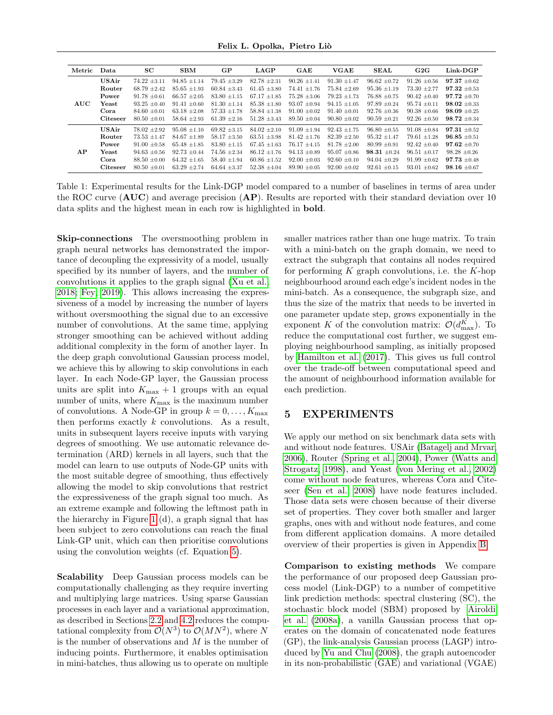Felix L. Opolka, Pietro Liò

<span id="page-6-1"></span>

| Metric | Data            | SC               | <b>SBM</b>       | GP               | <b>LAGP</b>      | GAE              | <b>VGAE</b>      | <b>SEAL</b>      | G2G              | Link-DGP         |
|--------|-----------------|------------------|------------------|------------------|------------------|------------------|------------------|------------------|------------------|------------------|
|        | <b>USAir</b>    | $74.22 + 3.11$   | $94.85 \pm 1.14$ | $79.45 \pm 3.29$ | $82.78 \pm 2.31$ | $90.26 \pm 1.41$ | $91.30 \pm 1.47$ | $96.62 + 0.72$   | $91.26 \pm 0.56$ | $97.37 + 0.62$   |
|        | Router          | $68.79 \pm 2.42$ | $85.65 \pm 1.93$ | $60.84 \pm 3.43$ | $61.45 \pm 3.80$ | $74.41 \pm 1.76$ | $75.84 \pm 2.69$ | $95.36 \pm 1.19$ | $73.30 \pm 2.77$ | $97.32 + 0.53$   |
|        | Power           | $91.78 \pm 0.61$ | $66.57 \pm 2.05$ | $83.80 \pm 1.15$ | $67.17 \pm 1.85$ | $75.28 \pm 3.06$ | $79.23 \pm 1.73$ | $76.88 \pm 0.75$ | $90.42 \pm 0.40$ | $97.72 + 0.70$   |
| AUC    | Yeast           | $93.25 \pm 0.40$ | $91.41 \pm 0.60$ | $81.30 \pm 1.14$ | $85.38 \pm 1.80$ | $93.07 \pm 0.94$ | $94.15 \pm 1.05$ | $97.89 \pm 0.24$ | $95.74 \pm 0.11$ | $98.02 + 0.33$   |
|        | Cora            | $84.60 \pm 0.01$ | $63.18 \pm 2.08$ | $57.33 \pm 1.78$ | $58.84 \pm 1.38$ | $91.00 \pm 0.02$ | $91.40 \pm 0.01$ | $92.76 \pm 0.36$ | $90.38 \pm 0.66$ | $98.09 + 0.25$   |
|        | <b>Citeseer</b> | $80.50 \pm 0.01$ | $58.64 \pm 2.93$ | $61.39 \pm 2.16$ | $51.28 \pm 3.43$ | $89.50 \pm 0.04$ | $90.80 \pm 0.02$ | $90.59 \pm 0.21$ | $92.26 \pm 0.50$ | $98.72 \pm 0.34$ |
|        | USAir           | $78.02 \pm 2.92$ | $95.08 \pm 1.10$ | $69.82 + 3.15$   | $84.02 \pm 2.10$ | $91.09 + 1.94$   | $92.43 + 1.75$   | $96.80 + 0.55$   | $91.08 \pm 0.84$ | $97.31 + 0.52$   |
|        | Router          | $73.53 \pm 1.47$ | $84.67 \pm 1.89$ | $58.17 \pm 3.50$ | $63.51 \pm 3.98$ | $81.42 \pm 1.76$ | $82.39 \pm 2.50$ | $95.32 + 1.47$   | $79.61 \pm 1.28$ | $96.85 + 0.51$   |
|        | Power           | $91.00 \pm 0.58$ | $65.48 \pm 1.85$ | $83.80 \pm 1.15$ | $67.45 \pm 1.63$ | $76.17 \pm 4.15$ | $81.78 \pm 2.00$ | $80.99 \pm 0.91$ | $92.42 \pm 0.40$ | $97.62 + 0.70$   |
| AP.    | Yeast           | $94.63 \pm 0.56$ | $92.73 \pm 0.44$ | $74.56 \pm 2.34$ | $86.12 \pm 1.76$ | $94.13 \pm 0.89$ | $95.07 \pm 0.86$ | $98.31 \pm 0.24$ | $96.51 \pm 0.17$ | $98.28 \pm 0.26$ |
|        | Cora            | $88.50 \pm 0.00$ | $64.32 \pm 1.65$ | $58.40 \pm 1.94$ | $60.86 \pm 1.52$ | $92.00 \pm 0.03$ | $92.60 \pm 0.10$ | $94.04 \pm 0.29$ | $91.99 \pm 0.62$ | $97.73 + 0.48$   |
|        | <b>Citeseer</b> | $80.50 \pm 0.01$ | $63.29 \pm 2.74$ | $64.64 \pm 3.37$ | $52.38 \pm 4.04$ | $89.90 \pm 0.05$ | $92.00 \pm 0.02$ | $92.61 \pm 0.15$ | $93.01 \pm 0.62$ | $98.16 \pm 0.67$ |

Table 1: Experimental results for the Link-DGP model compared to a number of baselines in terms of area under the ROC curve  $(AUC)$  and average precision  $(AP)$ . Results are reported with their standard deviation over 10 data splits and the highest mean in each row is highlighted in bold.

Skip-connections The oversmoothing problem in graph neural networks has demonstrated the importance of decoupling the expressivity of a model, usually specified by its number of layers, and the number of convolutions it applies to the graph signal [\(Xu et al.,](#page-10-4) [2018;](#page-10-4) [Fey, 2019\)](#page-8-9). This allows increasing the expressiveness of a model by increasing the number of layers without oversmoothing the signal due to an excessive number of convolutions. At the same time, applying stronger smoothing can be achieved without adding additional complexity in the form of another layer. In the deep graph convolutional Gaussian process model, we achieve this by allowing to skip convolutions in each layer. In each Node-GP layer, the Gaussian process units are split into  $K_{\text{max}} + 1$  groups with an equal number of units, where  $K_{\text{max}}$  is the maximum number of convolutions. A Node-GP in group  $k = 0, \ldots, K_{\text{max}}$ then performs exactly  $k$  convolutions. As a result, units in subsequent layers receive inputs with varying degrees of smoothing. We use automatic relevance determination (ARD) kernels in all layers, such that the model can learn to use outputs of Node-GP units with the most suitable degree of smoothing, thus effectively allowing the model to skip convolutions that restrict the expressiveness of the graph signal too much. As an extreme example and following the leftmost path in the hierarchy in Figure [1](#page-1-0) (d), a graph signal that has been subject to zero convolutions can reach the final Link-GP unit, which can then prioritise convolutions using the convolution weights (cf. Equation [5\)](#page-4-2).

Scalability Deep Gaussian process models can be computationally challenging as they require inverting and multiplying large matrices. Using sparse Gaussian processes in each layer and a variational approximation, as described in Sections [2.2](#page-2-0) and [4.2](#page-4-0) reduces the computational complexity from  $\mathcal{O}(N^3)$  to  $\mathcal{O}(MN^2)$ , where N is the number of observations and  $M$  is the number of inducing points. Furthermore, it enables optimisation in mini-batches, thus allowing us to operate on multiple smaller matrices rather than one huge matrix. To train with a mini-batch on the graph domain, we need to extract the subgraph that contains all nodes required for performing  $K$  graph convolutions, i.e. the  $K$ -hop neighbourhood around each edge's incident nodes in the mini-batch. As a consequence, the subgraph size, and thus the size of the matrix that needs to be inverted in one parameter update step, grows exponentially in the exponent K of the convolution matrix:  $\mathcal{O}(d_{\max}^K)$ . To reduce the computational cost further, we suggest employing neighbourhood sampling, as initially proposed by [Hamilton et al.](#page-9-23) [\(2017\)](#page-9-23). This gives us full control over the trade-off between computational speed and the amount of neighbourhood information available for each prediction.

## <span id="page-6-0"></span>5 EXPERIMENTS

We apply our method on six benchmark data sets with and without node features. USAir [\(Batagelj and Mrvar,](#page-8-10) [2006\)](#page-8-10), Router [\(Spring et al., 2004\)](#page-10-16), Power [\(Watts and](#page-10-17) [Strogatz, 1998\)](#page-10-17), and Yeast [\(von Mering et al., 2002\)](#page-10-18) come without node features, whereas Cora and Citeseer [\(Sen et al., 2008\)](#page-10-0) have node features included. Those data sets were chosen because of their diverse set of properties. They cover both smaller and larger graphs, ones with and without node features, and come from different application domains. A more detailed overview of their properties is given in Appendix [B.](#page-11-1)

Comparison to existing methods We compare the performance of our proposed deep Gaussian process model (Link-DGP) to a number of competitive link prediction methods: spectral clustering (SC), the stochastic block model (SBM) proposed by [Airoldi](#page-8-11) [et al.](#page-8-11) [\(2008a\)](#page-8-11), a vanilla Gaussian process that operates on the domain of concatenated node features (GP), the link-analysis Gaussian process (LAGP) introduced by [Yu and Chu](#page-10-11) [\(2008\)](#page-10-11), the graph autoencoder in its non-probabilistic (GAE) and variational (VGAE)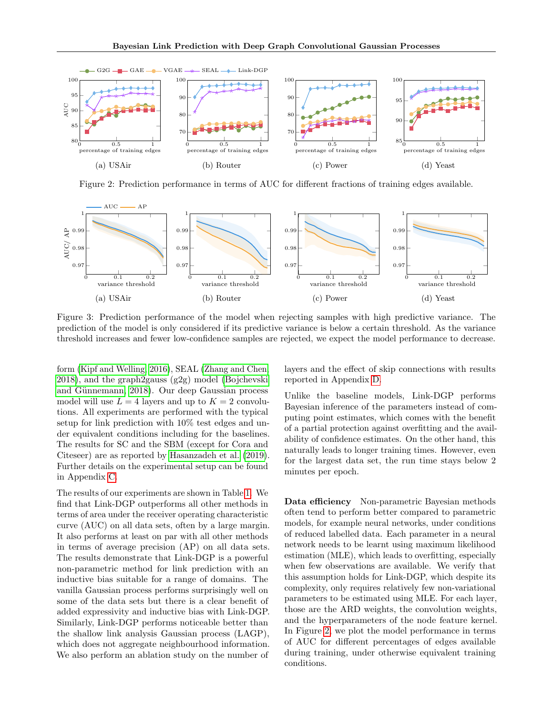<span id="page-7-0"></span>

Figure 2: Prediction performance in terms of AUC for different fractions of training edges available.

<span id="page-7-1"></span>

Figure 3: Prediction performance of the model when rejecting samples with high predictive variance. The prediction of the model is only considered if its predictive variance is below a certain threshold. As the variance threshold increases and fewer low-confidence samples are rejected, we expect the model performance to decrease.

form [\(Kipf and Welling, 2016\)](#page-9-2), SEAL [\(Zhang and Chen,](#page-10-2) [2018\)](#page-10-2), and the graph2gauss (g2g) model [\(Bojchevski](#page-8-0) and Günnemann, 2018). Our deep Gaussian process model will use  $L = 4$  layers and up to  $K = 2$  convolutions. All experiments are performed with the typical setup for link prediction with 10% test edges and under equivalent conditions including for the baselines. The results for SC and the SBM (except for Cora and Citeseer) are as reported by [Hasanzadeh et al.](#page-9-18) [\(2019\)](#page-9-18). Further details on the experimental setup can be found in Appendix [C.](#page-11-2)

The results of our experiments are shown in Table [1.](#page-6-1) We find that Link-DGP outperforms all other methods in terms of area under the receiver operating characteristic curve (AUC) on all data sets, often by a large margin. It also performs at least on par with all other methods in terms of average precision (AP) on all data sets. The results demonstrate that Link-DGP is a powerful non-parametric method for link prediction with an inductive bias suitable for a range of domains. The vanilla Gaussian process performs surprisingly well on some of the data sets but there is a clear benefit of added expressivity and inductive bias with Link-DGP. Similarly, Link-DGP performs noticeable better than the shallow link analysis Gaussian process (LAGP), which does not aggregate neighbourhood information. We also perform an ablation study on the number of layers and the effect of skip connections with results reported in Appendix [D.](#page-13-0)

Unlike the baseline models, Link-DGP performs Bayesian inference of the parameters instead of computing point estimates, which comes with the benefit of a partial protection against overfitting and the availability of confidence estimates. On the other hand, this naturally leads to longer training times. However, even for the largest data set, the run time stays below 2 minutes per epoch.

Data efficiency Non-parametric Bayesian methods often tend to perform better compared to parametric models, for example neural networks, under conditions of reduced labelled data. Each parameter in a neural network needs to be learnt using maximum likelihood estimation (MLE), which leads to overfitting, especially when few observations are available. We verify that this assumption holds for Link-DGP, which despite its complexity, only requires relatively few non-variational parameters to be estimated using MLE. For each layer, those are the ARD weights, the convolution weights, and the hyperparameters of the node feature kernel. In Figure [2,](#page-7-0) we plot the model performance in terms of AUC for different percentages of edges available during training, under otherwise equivalent training conditions.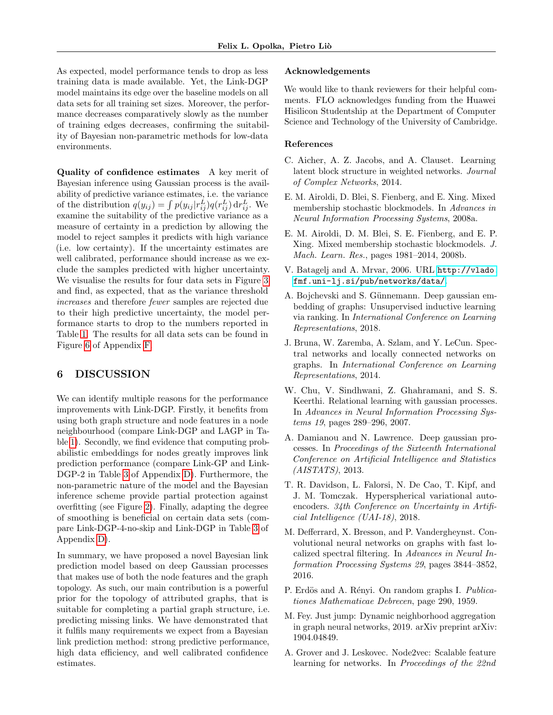As expected, model performance tends to drop as less training data is made available. Yet, the Link-DGP model maintains its edge over the baseline models on all data sets for all training set sizes. Moreover, the performance decreases comparatively slowly as the number of training edges decreases, confirming the suitability of Bayesian non-parametric methods for low-data environments.

Quality of confidence estimates A key merit of Bayesian inference using Gaussian process is the availability of predictive variance estimates, i.e. the variance of the distribution  $q(y_{ij}) = \int p(y_{ij} | r_{ij}^L) q(r_{ij}^L) dr_{ij}^L$ . We examine the suitability of the predictive variance as a measure of certainty in a prediction by allowing the model to reject samples it predicts with high variance (i.e. low certainty). If the uncertainty estimates are well calibrated, performance should increase as we exclude the samples predicted with higher uncertainty. We visualise the results for four data sets in Figure [3](#page-7-1) and find, as expected, that as the variance threshold increases and therefore fewer samples are rejected due to their high predictive uncertainty, the model performance starts to drop to the numbers reported in Table [1.](#page-6-1) The results for all data sets can be found in Figure [6](#page-15-1) of Appendix [F.](#page-14-0)

## 6 DISCUSSION

We can identify multiple reasons for the performance improvements with Link-DGP. Firstly, it benefits from using both graph structure and node features in a node neighbourhood (compare Link-DGP and LAGP in Table [1\)](#page-6-1). Secondly, we find evidence that computing probabilistic embeddings for nodes greatly improves link prediction performance (compare Link-GP and Link-DGP-2 in Table [3](#page-14-1) of Appendix [D\)](#page-13-0). Furthermore, the non-parametric nature of the model and the Bayesian inference scheme provide partial protection against overfitting (see Figure [2\)](#page-7-0). Finally, adapting the degree of smoothing is beneficial on certain data sets (compare Link-DGP-4-no-skip and Link-DGP in Table [3](#page-14-1) of Appendix [D\)](#page-13-0).

In summary, we have proposed a novel Bayesian link prediction model based on deep Gaussian processes that makes use of both the node features and the graph topology. As such, our main contribution is a powerful prior for the topology of attributed graphs, that is suitable for completing a partial graph structure, i.e. predicting missing links. We have demonstrated that it fulfils many requirements we expect from a Bayesian link prediction method: strong predictive performance, high data efficiency, and well calibrated confidence estimates.

#### Acknowledgements

We would like to thank reviewers for their helpful comments. FLO acknowledges funding from the Huawei Hisilicon Studentship at the Department of Computer Science and Technology of the University of Cambridge.

#### References

- <span id="page-8-12"></span>C. Aicher, A. Z. Jacobs, and A. Clauset. Learning latent block structure in weighted networks. Journal of Complex Networks, 2014.
- <span id="page-8-11"></span>E. M. Airoldi, D. Blei, S. Fienberg, and E. Xing. Mixed membership stochastic blockmodels. In Advances in Neural Information Processing Systems, 2008a.
- <span id="page-8-5"></span>E. M. Airoldi, D. M. Blei, S. E. Fienberg, and E. P. Xing. Mixed membership stochastic blockmodels. J. Mach. Learn. Res., pages 1981–2014, 2008b.
- <span id="page-8-10"></span>V. Batagelj and A. Mrvar, 2006. URL [http://vlado.](http://vlado.fmf.uni-lj.si/pub/networks/data/) [fmf.uni-lj.si/pub/networks/data/](http://vlado.fmf.uni-lj.si/pub/networks/data/).
- <span id="page-8-0"></span>A. Bojchevski and S. Günnemann. Deep gaussian embedding of graphs: Unsupervised inductive learning via ranking. In International Conference on Learning Representations, 2018.
- <span id="page-8-3"></span>J. Bruna, W. Zaremba, A. Szlam, and Y. LeCun. Spectral networks and locally connected networks on graphs. In International Conference on Learning Representations, 2014.
- <span id="page-8-4"></span>W. Chu, V. Sindhwani, Z. Ghahramani, and S. S. Keerthi. Relational learning with gaussian processes. In Advances in Neural Information Processing Systems 19, pages 289–296, 2007.
- <span id="page-8-2"></span>A. Damianou and N. Lawrence. Deep gaussian processes. In Proceedings of the Sixteenth International Conference on Artificial Intelligence and Statistics (AISTATS), 2013.
- <span id="page-8-7"></span>T. R. Davidson, L. Falorsi, N. De Cao, T. Kipf, and J. M. Tomczak. Hyperspherical variational autoencoders. 34th Conference on Uncertainty in Artificial Intelligence (UAI-18), 2018.
- <span id="page-8-1"></span>M. Defferrard, X. Bresson, and P. Vandergheynst. Convolutional neural networks on graphs with fast localized spectral filtering. In Advances in Neural Information Processing Systems 29, pages 3844–3852, 2016.
- <span id="page-8-8"></span>P. Erdös and A. Rényi. On random graphs I. Publicationes Mathematicae Debrecen, page 290, 1959.
- <span id="page-8-9"></span>M. Fey. Just jump: Dynamic neighborhood aggregation in graph neural networks, 2019. arXiv preprint arXiv: 1904.04849.
- <span id="page-8-6"></span>A. Grover and J. Leskovec. Node2vec: Scalable feature learning for networks. In Proceedings of the 22nd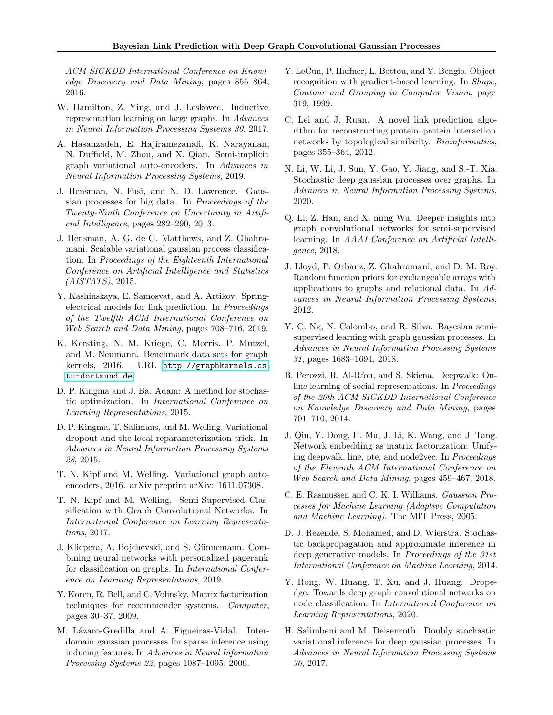ACM SIGKDD International Conference on Knowledge Discovery and Data Mining, pages 855–864, 2016.

- <span id="page-9-23"></span>W. Hamilton, Z. Ying, and J. Leskovec. Inductive representation learning on large graphs. In Advances in Neural Information Processing Systems 30, 2017.
- <span id="page-9-18"></span>A. Hasanzadeh, E. Hajiramezanali, K. Narayanan, N. Duffield, M. Zhou, and X. Qian. Semi-implicit graph variational auto-encoders. In Advances in Neural Information Processing Systems, 2019.
- <span id="page-9-9"></span>J. Hensman, N. Fusi, and N. D. Lawrence. Gaussian processes for big data. In Proceedings of the Twenty-Ninth Conference on Uncertainty in Artificial Intelligence, pages 282–290, 2013.
- <span id="page-9-8"></span>J. Hensman, A. G. de G. Matthews, and Z. Ghahramani. Scalable variational gaussian process classification. In Proceedings of the Eighteenth International Conference on Artificial Intelligence and Statistics (AISTATS), 2015.
- <span id="page-9-15"></span>Y. Kashinskaya, E. Samosvat, and A. Artikov. Springelectrical models for link prediction. In Proceedings of the Twelfth ACM International Conference on Web Search and Data Mining, pages 708–716, 2019.
- <span id="page-9-0"></span>K. Kersting, N. M. Kriege, C. Morris, P. Mutzel, and M. Neumann. Benchmark data sets for graph kernels, 2016. URL [http://graphkernels.cs.](http://graphkernels.cs.tu-dortmund.de) [tu-dortmund.de](http://graphkernels.cs.tu-dortmund.de).
- <span id="page-9-24"></span>D. P. Kingma and J. Ba. Adam: A method for stochastic optimization. In International Conference on Learning Representations, 2015.
- <span id="page-9-22"></span>D. P. Kingma, T. Salimans, and M. Welling. Variational dropout and the local reparameterization trick. In Advances in Neural Information Processing Systems 28, 2015.
- <span id="page-9-2"></span>T. N. Kipf and M. Welling. Variational graph autoencoders, 2016. arXiv preprint arXiv: 1611.07308.
- <span id="page-9-3"></span>T. N. Kipf and M. Welling. Semi-Supervised Classification with Graph Convolutional Networks. In International Conference on Learning Representations, 2017.
- <span id="page-9-5"></span>J. Klicpera, A. Bojchevski, and S. Günnemann. Combining neural networks with personalized pagerank for classification on graphs. In International Conference on Learning Representations, 2019.
- <span id="page-9-14"></span>Y. Koren, R. Bell, and C. Volinsky. Matrix factorization techniques for recommender systems. Computer, pages 30–37, 2009.
- <span id="page-9-19"></span>M. Lázaro-Gredilla and A. Figueiras-Vidal. Interdomain gaussian processes for sparse inference using inducing features. In Advances in Neural Information Processing Systems 22, pages 1087–1095, 2009.
- <span id="page-9-10"></span>Y. LeCun, P. Haffner, L. Bottou, and Y. Bengio. Object recognition with gradient-based learning. In Shape, Contour and Grouping in Computer Vision, page 319, 1999.
- <span id="page-9-1"></span>C. Lei and J. Ruan. A novel link prediction algorithm for reconstructing protein–protein interaction networks by topological similarity. Bioinformatics, pages 355–364, 2012.
- <span id="page-9-12"></span>N. Li, W. Li, J. Sun, Y. Gao, Y. Jiang, and S.-T. Xia. Stochastic deep gaussian processes over graphs. In Advances in Neural Information Processing Systems, 2020.
- <span id="page-9-4"></span>Q. Li, Z. Han, and X. ming Wu. Deeper insights into graph convolutional networks for semi-supervised learning. In AAAI Conference on Artificial Intelligence, 2018.
- <span id="page-9-13"></span>J. Lloyd, P. Orbanz, Z. Ghahramani, and D. M. Roy. Random function priors for exchangeable arrays with applications to graphs and relational data. In Advances in Neural Information Processing Systems, 2012.
- <span id="page-9-11"></span>Y. C. Ng, N. Colombo, and R. Silva. Bayesian semisupervised learning with graph gaussian processes. In Advances in Neural Information Processing Systems 31, pages 1683–1694, 2018.
- <span id="page-9-16"></span>B. Perozzi, R. Al-Rfou, and S. Skiena. Deepwalk: Online learning of social representations. In Proceedings of the 20th ACM SIGKDD International Conference on Knowledge Discovery and Data Mining, pages 701–710, 2014.
- <span id="page-9-17"></span>J. Qiu, Y. Dong, H. Ma, J. Li, K. Wang, and J. Tang. Network embedding as matrix factorization: Unifying deepwalk, line, pte, and node2vec. In Proceedings of the Eleventh ACM International Conference on Web Search and Data Mining, pages 459–467, 2018.
- <span id="page-9-7"></span>C. E. Rasmussen and C. K. I. Williams. Gaussian Processes for Machine Learning (Adaptive Computation and Machine Learning). The MIT Press, 2005.
- <span id="page-9-21"></span>D. J. Rezende, S. Mohamed, and D. Wierstra. Stochastic backpropagation and approximate inference in deep generative models. In Proceedings of the 31st International Conference on Machine Learning, 2014.
- <span id="page-9-6"></span>Y. Rong, W. Huang, T. Xu, and J. Huang. Dropedge: Towards deep graph convolutional networks on node classification. In International Conference on Learning Representations, 2020.
- <span id="page-9-20"></span>H. Salimbeni and M. Deisenroth. Doubly stochastic variational inference for deep gaussian processes. In Advances in Neural Information Processing Systems 30, 2017.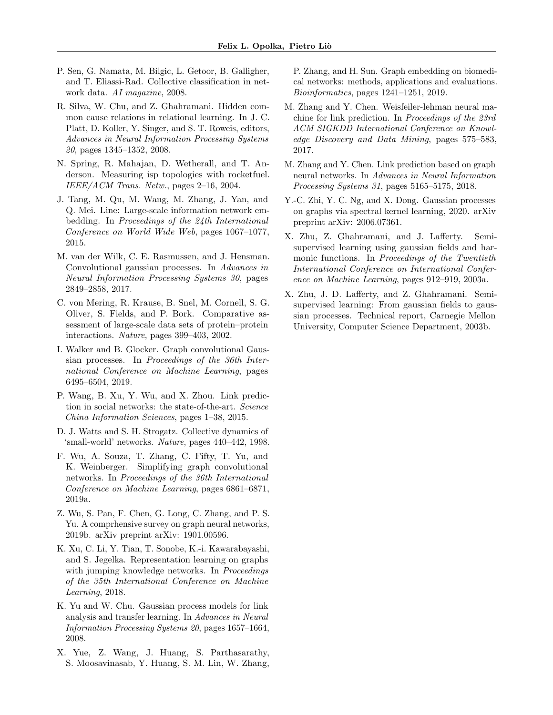- <span id="page-10-0"></span>P. Sen, G. Namata, M. Bilgic, L. Getoor, B. Galligher, and T. Eliassi-Rad. Collective classification in network data. AI magazine, 2008.
- <span id="page-10-6"></span>R. Silva, W. Chu, and Z. Ghahramani. Hidden common cause relations in relational learning. In J. C. Platt, D. Koller, Y. Singer, and S. T. Roweis, editors, Advances in Neural Information Processing Systems 20, pages 1345–1352, 2008.
- <span id="page-10-16"></span>N. Spring, R. Mahajan, D. Wetherall, and T. Anderson. Measuring isp topologies with rocketfuel. IEEE/ACM Trans. Netw., pages 2–16, 2004.
- <span id="page-10-12"></span>J. Tang, M. Qu, M. Wang, M. Zhang, J. Yan, and Q. Mei. Line: Large-scale information network embedding. In Proceedings of the 24th International Conference on World Wide Web, pages 1067–1077, 2015.
- <span id="page-10-15"></span>M. van der Wilk, C. E. Rasmussen, and J. Hensman. Convolutional gaussian processes. In Advances in Neural Information Processing Systems 30, pages 2849–2858, 2017.
- <span id="page-10-18"></span>C. von Mering, R. Krause, B. Snel, M. Cornell, S. G. Oliver, S. Fields, and P. Bork. Comparative assessment of large-scale data sets of protein–protein interactions. Nature, pages 399–403, 2002.
- <span id="page-10-10"></span>I. Walker and B. Glocker. Graph convolutional Gaussian processes. In Proceedings of the 36th International Conference on Machine Learning, pages 6495–6504, 2019.
- <span id="page-10-1"></span>P. Wang, B. Xu, Y. Wu, and X. Zhou. Link prediction in social networks: the state-of-the-art. Science China Information Sciences, pages 1–38, 2015.
- <span id="page-10-17"></span>D. J. Watts and S. H. Strogatz. Collective dynamics of 'small-world' networks. Nature, pages 440–442, 1998.
- <span id="page-10-14"></span>F. Wu, A. Souza, T. Zhang, C. Fifty, T. Yu, and K. Weinberger. Simplifying graph convolutional networks. In Proceedings of the 36th International Conference on Machine Learning, pages 6861–6871, 2019a.
- <span id="page-10-3"></span>Z. Wu, S. Pan, F. Chen, G. Long, C. Zhang, and P. S. Yu. A comprhensive survey on graph neural networks, 2019b. arXiv preprint arXiv: 1901.00596.
- <span id="page-10-4"></span>K. Xu, C. Li, Y. Tian, T. Sonobe, K.-i. Kawarabayashi, and S. Jegelka. Representation learning on graphs with jumping knowledge networks. In Proceedings of the 35th International Conference on Machine Learning, 2018.
- <span id="page-10-11"></span>K. Yu and W. Chu. Gaussian process models for link analysis and transfer learning. In Advances in Neural Information Processing Systems 20, pages 1657–1664, 2008.
- <span id="page-10-5"></span>X. Yue, Z. Wang, J. Huang, S. Parthasarathy, S. Moosavinasab, Y. Huang, S. M. Lin, W. Zhang,

P. Zhang, and H. Sun. Graph embedding on biomedical networks: methods, applications and evaluations. Bioinformatics, pages 1241–1251, 2019.

- <span id="page-10-13"></span>M. Zhang and Y. Chen. Weisfeiler-lehman neural machine for link prediction. In Proceedings of the 23rd ACM SIGKDD International Conference on Knowledge Discovery and Data Mining, pages 575–583, 2017.
- <span id="page-10-2"></span>M. Zhang and Y. Chen. Link prediction based on graph neural networks. In Advances in Neural Information Processing Systems 31, pages 5165–5175, 2018.
- <span id="page-10-9"></span>Y.-C. Zhi, Y. C. Ng, and X. Dong. Gaussian processes on graphs via spectral kernel learning, 2020. arXiv preprint arXiv: 2006.07361.
- <span id="page-10-7"></span>X. Zhu, Z. Ghahramani, and J. Lafferty. Semisupervised learning using gaussian fields and harmonic functions. In Proceedings of the Twentieth International Conference on International Conference on Machine Learning, pages 912–919, 2003a.
- <span id="page-10-8"></span>X. Zhu, J. D. Lafferty, and Z. Ghahramani. Semisupervised learning: From gaussian fields to gaussian processes. Technical report, Carnegie Mellon University, Computer Science Department, 2003b.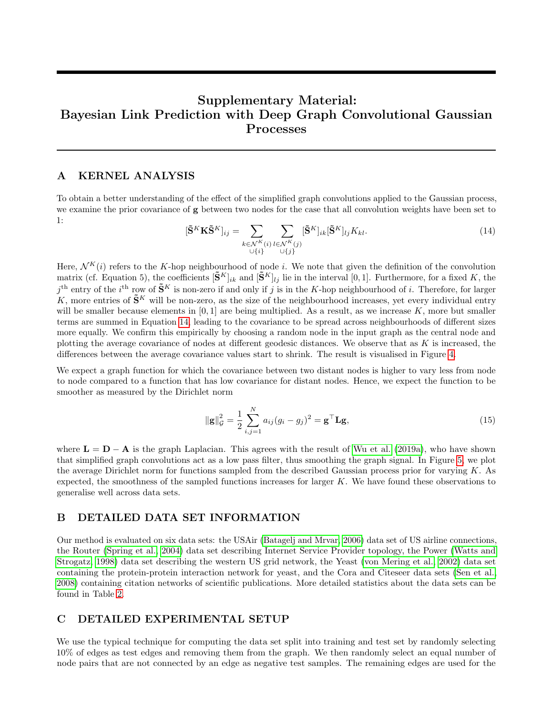# Supplementary Material: Bayesian Link Prediction with Deep Graph Convolutional Gaussian Processes

## <span id="page-11-0"></span>A KERNEL ANALYSIS

To obtain a better understanding of the effect of the simplified graph convolutions applied to the Gaussian process, we examine the prior covariance of g between two nodes for the case that all convolution weights have been set to 1:

<span id="page-11-3"></span>
$$
[\tilde{\mathbf{S}}^K \mathbf{K} \tilde{\mathbf{S}}^K]_{ij} = \sum_{\substack{k \in \mathcal{N}^K(i) \\ \cup \{i\}}} \sum_{\substack{l \in \mathcal{N}^K(j) \\ \cup \{j\}}} [\tilde{\mathbf{S}}^K]_{ik} [\tilde{\mathbf{S}}^K]_{lj} K_{kl}.
$$
\n(14)

Here,  $\mathcal{N}^K(i)$  refers to the K-hop neighbourhood of node i. We note that given the definition of the convolution matrix (cf. Equation 5), the coefficients  $[\tilde{\mathbf{S}}^K]_{ik}$  and  $[\tilde{\mathbf{S}}^K]_{lj}$  lie in the interval  $[0, 1]$ . Furthermore, for a fixed K, the  $j^{\text{th}}$  entry of the  $i^{\text{th}}$  row of  $\tilde{\mathbf{S}}^K$  is non-zero if and only if j is in the K-hop neighbourhood of i. Therefore, for larger K, more entries of  $\tilde{\mathbf{S}}^K$  will be non-zero, as the size of the neighbourhood increases, yet every individual entry will be smaller because elements in  $[0, 1]$  are being multiplied. As a result, as we increase K, more but smaller terms are summed in Equation [14,](#page-11-3) leading to the covariance to be spread across neighbourhoods of different sizes more equally. We confirm this empirically by choosing a random node in the input graph as the central node and plotting the average covariance of nodes at different geodesic distances. We observe that as  $K$  is increased, the differences between the average covariance values start to shrink. The result is visualised in Figure [4.](#page-12-0)

We expect a graph function for which the covariance between two distant nodes is higher to vary less from node to node compared to a function that has low covariance for distant nodes. Hence, we expect the function to be smoother as measured by the Dirichlet norm

$$
\|\mathbf{g}\|_{\mathcal{G}}^2 = \frac{1}{2} \sum_{i,j=1}^N a_{ij} (g_i - g_j)^2 = \mathbf{g}^\top \mathbf{L} \mathbf{g},\tag{15}
$$

where  $\mathbf{L} = \mathbf{D} - \mathbf{A}$  is the graph Laplacian. This agrees with the result of [Wu et al.](#page-10-14) [\(2019a\)](#page-10-14), who have shown that simplified graph convolutions act as a low pass filter, thus smoothing the graph signal. In Figure [5,](#page-12-0) we plot the average Dirichlet norm for functions sampled from the described Gaussian process prior for varying  $K$ . As expected, the smoothness of the sampled functions increases for larger  $K$ . We have found these observations to generalise well across data sets.

## <span id="page-11-1"></span>B DETAILED DATA SET INFORMATION

Our method is evaluated on six data sets: the USAir [\(Batagelj and Mrvar, 2006\)](#page-8-10) data set of US airline connections, the Router [\(Spring et al., 2004\)](#page-10-16) data set describing Internet Service Provider topology, the Power [\(Watts and](#page-10-17) [Strogatz, 1998\)](#page-10-17) data set describing the western US grid network, the Yeast [\(von Mering et al., 2002\)](#page-10-18) data set containing the protein-protein interaction network for yeast, and the Cora and Citeseer data sets [\(Sen et al.,](#page-10-0) [2008\)](#page-10-0) containing citation networks of scientific publications. More detailed statistics about the data sets can be found in Table [2.](#page-12-1)

### <span id="page-11-2"></span>C DETAILED EXPERIMENTAL SETUP

We use the typical technique for computing the data set split into training and test set by randomly selecting 10% of edges as test edges and removing them from the graph. We then randomly select an equal number of node pairs that are not connected by an edge as negative test samples. The remaining edges are used for the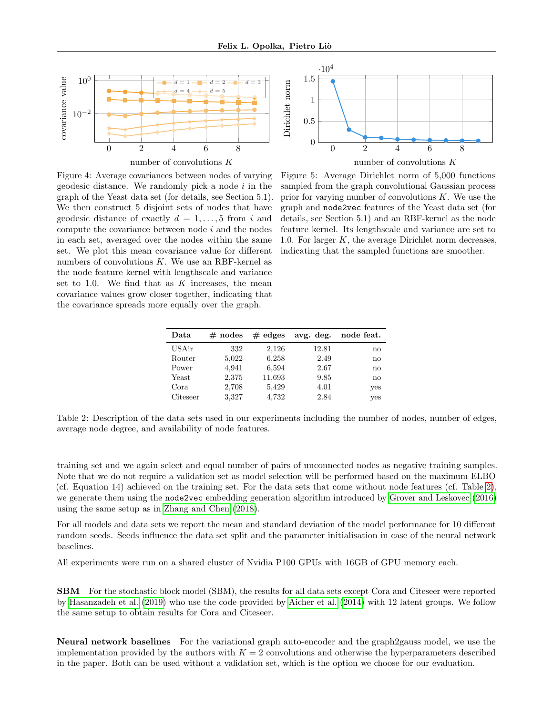<span id="page-12-0"></span>



Figure 4: Average covariances between nodes of varying geodesic distance. We randomly pick a node  $i$  in the graph of the Yeast data set (for details, see Section 5.1). We then construct 5 disjoint sets of nodes that have geodesic distance of exactly  $d = 1, \ldots, 5$  from i and compute the covariance between node i and the nodes in each set, averaged over the nodes within the same set. We plot this mean covariance value for different numbers of convolutions  $K$ . We use an RBF-kernel as the node feature kernel with lengthscale and variance set to 1.0. We find that as  $K$  increases, the mean covariance values grow closer together, indicating that the covariance spreads more equally over the graph.

Figure 5: Average Dirichlet norm of 5,000 functions sampled from the graph convolutional Gaussian process prior for varying number of convolutions  $K$ . We use the graph and node2vec features of the Yeast data set (for details, see Section 5.1) and an RBF-kernel as the node feature kernel. Its lengthscale and variance are set to 1.0. For larger  $K$ , the average Dirichlet norm decreases, indicating that the sampled functions are smoother.

| Data     | $#$ nodes | $#$ edges | avg. deg. | node feat.    |
|----------|-----------|-----------|-----------|---------------|
| USAir    | 332       | 2,126     | 12.81     | $\mathbf{no}$ |
| Router   | 5,022     | 6,258     | 2.49      | no            |
| Power    | 4,941     | 6,594     | 2.67      | no            |
| Yeast    | 2,375     | 11,693    | 9.85      | no            |
| Cora     | 2,708     | 5,429     | 4.01      | yes           |
| Citeseer | 3,327     | 4,732     | 2.84      | yes           |

<span id="page-12-1"></span>Table 2: Description of the data sets used in our experiments including the number of nodes, number of edges, average node degree, and availability of node features.

training set and we again select and equal number of pairs of unconnected nodes as negative training samples. Note that we do not require a validation set as model selection will be performed based on the maximum ELBO (cf. Equation 14) achieved on the training set. For the data sets that come without node features (cf. Table [2\)](#page-12-1), we generate them using the node2vec embedding generation algorithm introduced by [Grover and Leskovec](#page-8-6) [\(2016\)](#page-8-6) using the same setup as in [Zhang and Chen](#page-10-2) [\(2018\)](#page-10-2).

For all models and data sets we report the mean and standard deviation of the model performance for 10 different random seeds. Seeds influence the data set split and the parameter initialisation in case of the neural network baselines.

All experiments were run on a shared cluster of Nvidia P100 GPUs with 16GB of GPU memory each.

SBM For the stochastic block model (SBM), the results for all data sets except Cora and Citeseer were reported by [Hasanzadeh et al.](#page-9-18) [\(2019\)](#page-9-18) who use the code provided by [Aicher et al.](#page-8-12) [\(2014\)](#page-8-12) with 12 latent groups. We follow the same setup to obtain results for Cora and Citeseer.

Neural network baselines For the variational graph auto-encoder and the graph2gauss model, we use the implementation provided by the authors with  $K = 2$  convolutions and otherwise the hyperparameters described in the paper. Both can be used without a validation set, which is the option we choose for our evaluation.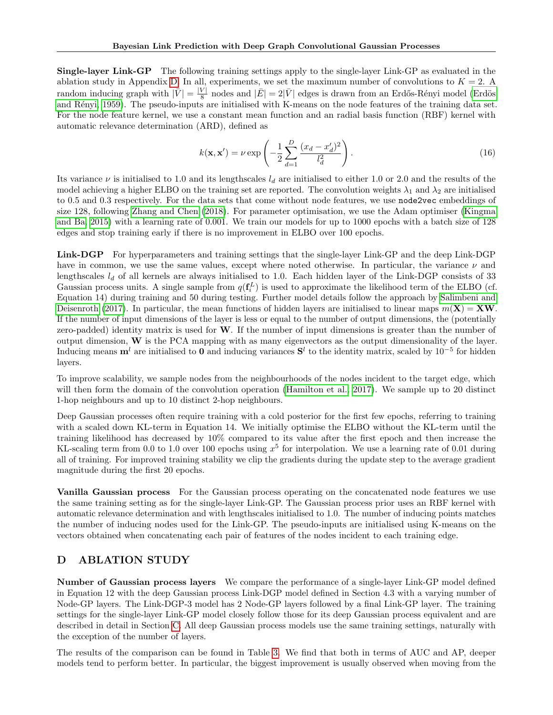Single-layer Link-GP The following training settings apply to the single-layer Link-GP as evaluated in the ablation study in Appendix [D.](#page-13-0) In all, experiments, we set the maximum number of convolutions to  $K = 2$ . random inducing graph with  $|\bar{V}| = \frac{|V|}{8}$  $\frac{|V|}{8}$ nodes and  $|\bar{E}|=2|\bar{V}|$ edges is drawn from an Erdős-Rényi model (Erdös [and R´enyi, 1959\)](#page-8-8). The pseudo-inputs are initialised with K-means on the node features of the training data set. For the node feature kernel, we use a constant mean function and an radial basis function (RBF) kernel with automatic relevance determination (ARD), defined as

$$
k(\mathbf{x}, \mathbf{x}') = \nu \exp\left(-\frac{1}{2} \sum_{d=1}^{D} \frac{(x_d - x'_d)^2}{l_d^2}\right). \tag{16}
$$

Its variance  $\nu$  is initialised to 1.0 and its lengthscales  $l_d$  are initialised to either 1.0 or 2.0 and the results of the model achieving a higher ELBO on the training set are reported. The convolution weights  $\lambda_1$  and  $\lambda_2$  are initialised to 0.5 and 0.3 respectively. For the data sets that come without node features, we use node2vec embeddings of size 128, following [Zhang and Chen](#page-10-2) [\(2018\)](#page-10-2). For parameter optimisation, we use the Adam optimiser [\(Kingma](#page-9-24) [and Ba, 2015\)](#page-9-24) with a learning rate of 0.001. We train our models for up to 1000 epochs with a batch size of 128 edges and stop training early if there is no improvement in ELBO over 100 epochs.

Link-DGP For hyperparameters and training settings that the single-layer Link-GP and the deep Link-DGP have in common, we use the same values, except where noted otherwise. In particular, the variance  $\nu$  and lengthscales  $l_d$  of all kernels are always initialised to 1.0. Each hidden layer of the Link-DGP consists of 33 Gaussian process units. A single sample from  $q(\mathbf{f}_i^L)$  is used to approximate the likelihood term of the ELBO (cf. Equation 14) during training and 50 during testing. Further model details follow the approach by [Salimbeni and](#page-9-20) [Deisenroth](#page-9-20) [\(2017\)](#page-9-20). In particular, the mean functions of hidden layers are initialised to linear maps  $m(\mathbf{X}) = \mathbf{X}\mathbf{W}$ . If the number of input dimensions of the layer is less or equal to the number of output dimensions, the (potentially zero-padded) identity matrix is used for  $W$ . If the number of input dimensions is greater than the number of output dimension,  $W$  is the PCA mapping with as many eigenvectors as the output dimensionality of the layer. Inducing means  $\mathbf{m}^l$  are initialised to 0 and inducing variances  $\mathbf{S}^l$  to the identity matrix, scaled by 10<sup>-5</sup> for hidden layers.

To improve scalability, we sample nodes from the neighbourhoods of the nodes incident to the target edge, which will then form the domain of the convolution operation [\(Hamilton et al., 2017\)](#page-9-23). We sample up to 20 distinct 1-hop neighbours and up to 10 distinct 2-hop neighbours.

Deep Gaussian processes often require training with a cold posterior for the first few epochs, referring to training with a scaled down KL-term in Equation 14. We initially optimise the ELBO without the KL-term until the training likelihood has decreased by 10% compared to its value after the first epoch and then increase the KL-scaling term from 0.0 to 1.0 over 100 epochs using  $x^5$  for interpolation. We use a learning rate of 0.01 during all of training. For improved training stability we clip the gradients during the update step to the average gradient magnitude during the first 20 epochs.

Vanilla Gaussian process For the Gaussian process operating on the concatenated node features we use the same training setting as for the single-layer Link-GP. The Gaussian process prior uses an RBF kernel with automatic relevance determination and with lengthscales initialised to 1.0. The number of inducing points matches the number of inducing nodes used for the Link-GP. The pseudo-inputs are initialised using K-means on the vectors obtained when concatenating each pair of features of the nodes incident to each training edge.

## <span id="page-13-0"></span>D ABLATION STUDY

Number of Gaussian process layers We compare the performance of a single-layer Link-GP model defined in Equation 12 with the deep Gaussian process Link-DGP model defined in Section 4.3 with a varying number of Node-GP layers. The Link-DGP-3 model has 2 Node-GP layers followed by a final Link-GP layer. The training settings for the single-layer Link-GP model closely follow those for its deep Gaussian process equivalent and are described in detail in Section [C.](#page-11-2) All deep Gaussian process models use the same training settings, naturally with the exception of the number of layers.

The results of the comparison can be found in Table [3.](#page-14-1) We find that both in terms of AUC and AP, deeper models tend to perform better. In particular, the biggest improvement is usually observed when moving from the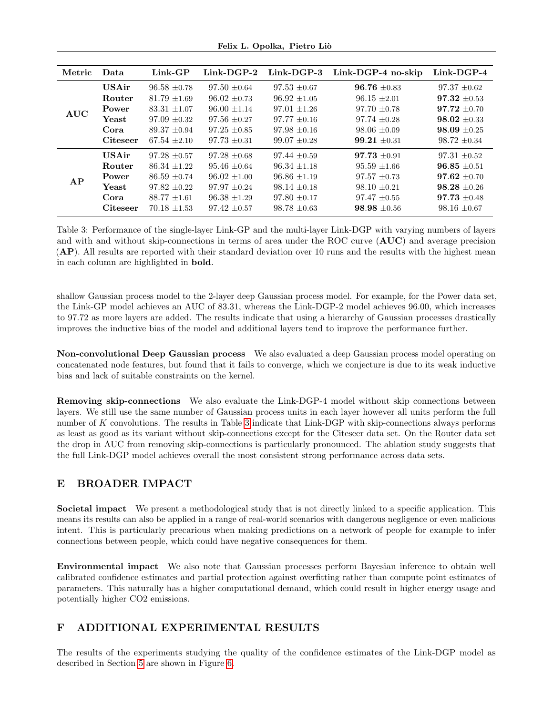Felix L. Opolka, Pietro Liò

<span id="page-14-1"></span>

| Metric     | Data            | $Link-GP$        | $Link-DGP-2$     | $Link-DCP-3$     | $Link-DGP-4$ no-skip | $Link-DCP-4$     |
|------------|-----------------|------------------|------------------|------------------|----------------------|------------------|
| <b>AUC</b> | <b>USAir</b>    | $96.58 + 0.78$   | $97.50 \pm 0.64$ | $97.53 + 0.67$   | $96.76 + 0.83$       | $97.37 + 0.62$   |
|            | Router          | $81.79 + 1.69$   | $96.02 + 0.73$   | $96.92 + 1.05$   | $96.15 \pm 2.01$     | $97.32 \pm 0.53$ |
|            | Power           | $83.31 + 1.07$   | $96.00 \pm 1.14$ | $97.01 \pm 1.26$ | $97.70 \pm 0.78$     | $97.72 + 0.70$   |
|            | Yeast           | $97.09 + 0.32$   | $97.56 + 0.27$   | $97.77 \pm 0.16$ | $97.74 + 0.28$       | $98.02 \pm 0.33$ |
|            | Cora            | $89.37 + 0.94$   | $97.25 + 0.85$   | $97.98 + 0.16$   | $98.06 \pm 0.09$     | $98.09 \pm 0.25$ |
|            | <b>Citeseer</b> | $67.54 \pm 2.10$ | $97.73 \pm 0.31$ | $99.07 \pm 0.28$ | $99.21 \pm 0.31$     | $98.72 \pm 0.34$ |
| AP         | <b>USAir</b>    | $97.28 + 0.57$   | $97.28 \pm 0.68$ | $97.44 + 0.59$   | $97.73 + 0.91$       | $97.31 \pm 0.52$ |
|            | Router          | $86.34 + 1.22$   | $95.46 + 0.64$   | $96.34 \pm 1.18$ | $95.59 \pm 1.66$     | $96.85 \pm 0.51$ |
|            | Power           | $86.59 \pm 0.74$ | $96.02 + 1.00$   | $96.86 + 1.19$   | $97.57 \pm 0.73$     | $97.62 \pm 0.70$ |
|            | Yeast           | $97.82 \pm 0.22$ | $97.97 + 0.24$   | $98.14 + 0.18$   | $98.10 + 0.21$       | $98.28 + 0.26$   |
|            | Cora            | $88.77 + 1.61$   | $96.38 \pm 1.29$ | $97.80 \pm 0.17$ | $97.47 + 0.55$       | $97.73 + 0.48$   |
|            | <b>Citeseer</b> | $70.18 + 1.53$   | $97.42 \pm 0.57$ | $98.78 + 0.63$   | $98.98 + 0.56$       | $98.16 \pm 0.67$ |

Table 3: Performance of the single-layer Link-GP and the multi-layer Link-DGP with varying numbers of layers and with and without skip-connections in terms of area under the ROC curve (AUC) and average precision (AP). All results are reported with their standard deviation over 10 runs and the results with the highest mean in each column are highlighted in bold.

shallow Gaussian process model to the 2-layer deep Gaussian process model. For example, for the Power data set, the Link-GP model achieves an AUC of 83.31, whereas the Link-DGP-2 model achieves 96.00, which increases to 97.72 as more layers are added. The results indicate that using a hierarchy of Gaussian processes drastically improves the inductive bias of the model and additional layers tend to improve the performance further.

Non-convolutional Deep Gaussian process We also evaluated a deep Gaussian process model operating on concatenated node features, but found that it fails to converge, which we conjecture is due to its weak inductive bias and lack of suitable constraints on the kernel.

Removing skip-connections We also evaluate the Link-DGP-4 model without skip connections between layers. We still use the same number of Gaussian process units in each layer however all units perform the full number of K convolutions. The results in Table [3](#page-14-1) indicate that Link-DGP with skip-connections always performs as least as good as its variant without skip-connections except for the Citeseer data set. On the Router data set the drop in AUC from removing skip-connections is particularly pronounced. The ablation study suggests that the full Link-DGP model achieves overall the most consistent strong performance across data sets.

# E BROADER IMPACT

Societal impact We present a methodological study that is not directly linked to a specific application. This means its results can also be applied in a range of real-world scenarios with dangerous negligence or even malicious intent. This is particularly precarious when making predictions on a network of people for example to infer connections between people, which could have negative consequences for them.

Environmental impact We also note that Gaussian processes perform Bayesian inference to obtain well calibrated confidence estimates and partial protection against overfitting rather than compute point estimates of parameters. This naturally has a higher computational demand, which could result in higher energy usage and potentially higher CO2 emissions.

## <span id="page-14-0"></span>F ADDITIONAL EXPERIMENTAL RESULTS

The results of the experiments studying the quality of the confidence estimates of the Link-DGP model as described in Section [5](#page-6-0) are shown in Figure [6.](#page-15-1)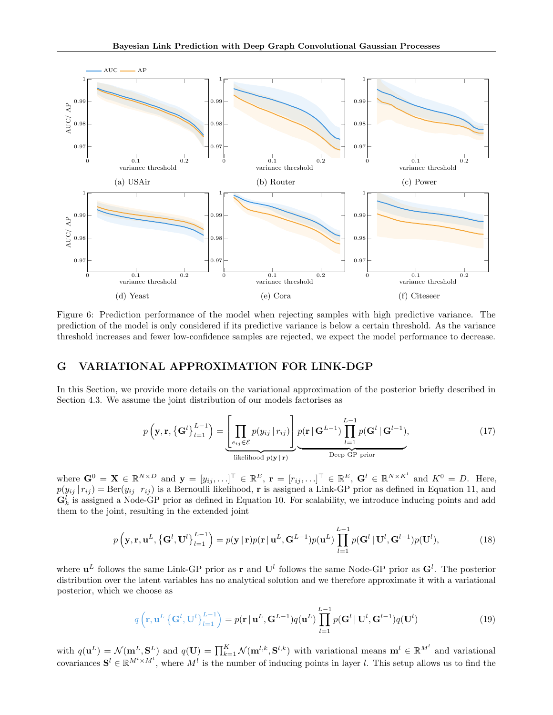<span id="page-15-1"></span>

Figure 6: Prediction performance of the model when rejecting samples with high predictive variance. The prediction of the model is only considered if its predictive variance is below a certain threshold. As the variance threshold increases and fewer low-confidence samples are rejected, we expect the model performance to decrease.

## <span id="page-15-0"></span>G VARIATIONAL APPROXIMATION FOR LINK-DGP

In this Section, we provide more details on the variational approximation of the posterior briefly described in Section 4.3. We assume the joint distribution of our models factorises as

$$
p\left(\mathbf{y}, \mathbf{r}, \left\{\mathbf{G}^l\right\}_{l=1}^{L-1}\right) = \underbrace{\left[\prod_{e_{ij}\in\mathcal{E}} p(y_{ij} \mid r_{ij})\right]}_{\text{likelihood } p(\mathbf{y} \mid \mathbf{r})} p(\mathbf{r} \mid \mathbf{G}^{L-1}) \prod_{l=1}^{L-1} p(\mathbf{G}^l \mid \mathbf{G}^{l-1}),
$$
\n(17)

where  $\mathbf{G}^0 = \mathbf{X} \in \mathbb{R}^{N \times D}$  and  $\mathbf{y} = [y_{ij}, \ldots]^{\top} \in \mathbb{R}^E$ ,  $\mathbf{r} = [r_{ij}, \ldots]^{\top} \in \mathbb{R}^E$ ,  $\mathbf{G}^l \in \mathbb{R}^{N \times K^l}$  and  $K^0 = D$ . Here,  $p(y_{ij} | r_{ij}) = \text{Ber}(y_{ij} | r_{ij})$  is a Bernoulli likelihood, r is assigned a Link-GP prior as defined in Equation 11, and  $\mathbf{G}_k^l$  is assigned a Node-GP prior as defined in Equation 10. For scalability, we introduce inducing points and add them to the joint, resulting in the extended joint

$$
p\left(\mathbf{y},\mathbf{r},\mathbf{u}^L,\left\{\mathbf{G}^l,\mathbf{U}^l\right\}_{l=1}^{L-1}\right) = p(\mathbf{y}|\mathbf{r})p(\mathbf{r}|\mathbf{u}^L,\mathbf{G}^{L-1})p(\mathbf{u}^L)\prod_{l=1}^{L-1}p(\mathbf{G}^l|\mathbf{U}^l,\mathbf{G}^{l-1})p(\mathbf{U}^l),
$$
\n(18)

where  $\mathbf{u}^L$  follows the same Link-GP prior as **r** and  $\mathbf{U}^l$  follows the same Node-GP prior as  $\mathbf{G}^l$ . The posterior distribution over the latent variables has no analytical solution and we therefore approximate it with a variational posterior, which we choose as

$$
q\left(\mathbf{r},\mathbf{u}^{L}\left\{\mathbf{G}^{l},\mathbf{U}^{l}\right\}_{l=1}^{L-1}\right) = p(\mathbf{r}|\mathbf{u}^{L},\mathbf{G}^{L-1})q(\mathbf{u}^{L})\prod_{l=1}^{L-1}p(\mathbf{G}^{l}|\mathbf{U}^{l},\mathbf{G}^{l-1})q(\mathbf{U}^{l})
$$
\n(19)

with  $q(\mathbf{u}^L) = \mathcal{N}(\mathbf{m}^L, \mathbf{S}^L)$  and  $q(\mathbf{U}) = \prod_{k=1}^K \mathcal{N}(\mathbf{m}^{l,k}, \mathbf{S}^{l,k})$  with variational means  $\mathbf{m}^l \in \mathbb{R}^{M^l}$  and variational covariances  $S^l \in \mathbb{R}^{M^l \times M^l}$ , where  $M^l$  is the number of inducing points in layer l. This setup allows us to find the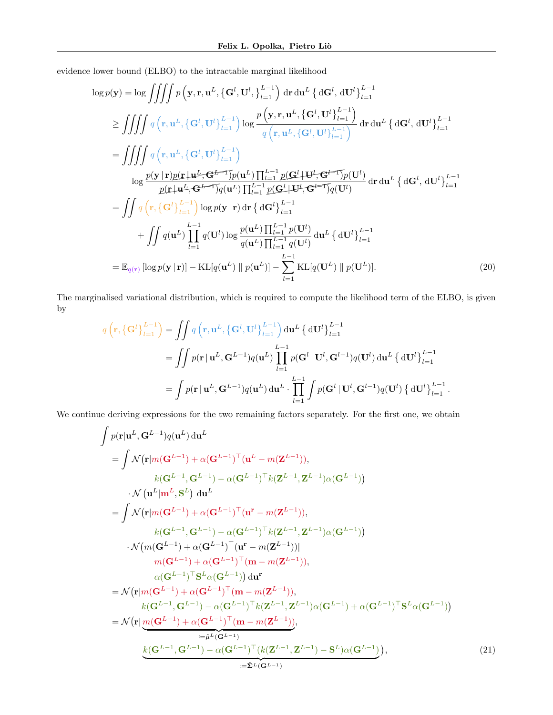evidence lower bound (ELBO) to the intractable marginal likelihood

$$
\log p(\mathbf{y}) = \log \iiint p(\mathbf{y}, \mathbf{r}, \mathbf{u}^{L}, \{\mathbf{G}^{l}, \mathbf{U}^{l}, \}_{l=1}^{L-1}) \, d\mathbf{r} \, d\mathbf{u}^{L} \, {\}d\mathbf{G}^{l}, d\mathbf{U}^{l} \}_{l=1}^{L-1}
$$
\n
$$
\geq \iiint q(\mathbf{r}, \mathbf{u}^{L}, \{\mathbf{G}^{l}, \mathbf{U}^{l}\}_{l=1}^{L-1}) \log \frac{p(\mathbf{y}, \mathbf{r}, \mathbf{u}^{L}, \{\mathbf{G}^{l}, \mathbf{U}^{l}\}_{l=1}^{L-1})}{q(\mathbf{r}, \mathbf{u}^{L}, \{\mathbf{G}^{l}, \mathbf{U}^{l}\}_{l=1}^{L-1})} \, d\mathbf{r} \, d\mathbf{u}^{L} \, {\}d\mathbf{G}^{l}, d\mathbf{U}^{l} \}_{l=1}^{L-1}
$$
\n
$$
= \iiint q(\mathbf{r}, \mathbf{u}^{L}, \{\mathbf{G}^{l}, \mathbf{U}^{l}\}_{l=1}^{L-1})
$$
\n
$$
\log \frac{p(\mathbf{y} \mid \mathbf{r})p(\mathbf{r} \mid \mathbf{u}^{L}, \mathbf{G}^{L-1})p(\mathbf{u}^{L}) \prod_{l=1}^{L-1} p(\mathbf{G}^{l} \mid \mathbf{U}^{l}, \mathbf{G}^{l} \mid \mathbf{T})p(\mathbf{U}^{l})}{p(\mathbf{r} \mid \mathbf{u}^{L}, \mathbf{G}^{L-1})q(\mathbf{u}^{L}) \prod_{l=1}^{L-1} p(\mathbf{G}^{l} \mid \mathbf{U}^{l}, \mathbf{G}^{l} \mid \mathbf{T})p(\mathbf{U}^{l})} \, d\mathbf{r} \, d\mathbf{u}^{L} \, {\}d\mathbf{G}^{l}, d\mathbf{U}^{l}\}_{l=1}^{L-1}
$$
\n
$$
= \iiint q(\mathbf{r}, {\}(\mathbf{G}^{l})_{l=1}^{L-1}) \log p(\mathbf{y} \mid \mathbf{r}) \, d\mathbf{r} \, {\}d\mathbf{G}^{
$$

The marginalised variational distribution, which is required to compute the likelihood term of the ELBO, is given by

<span id="page-16-0"></span>
$$
q\left(\mathbf{r}, \left\{\mathbf{G}^l\right\}_{l=1}^{L-1}\right) = \iint q\left(\mathbf{r}, \mathbf{u}^L, \left\{\mathbf{G}^l, \mathbf{U}^l\right\}_{l=1}^{L-1}\right) d\mathbf{u}^L \left\{ d\mathbf{U}^l \right\}_{l=1}^{L-1}
$$
  
\n
$$
= \iint p(\mathbf{r} | \mathbf{u}^L, \mathbf{G}^{L-1}) q(\mathbf{u}^L) \prod_{l=1}^{L-1} p(\mathbf{G}^l | \mathbf{U}^l, \mathbf{G}^{l-1}) q(\mathbf{U}^l) d\mathbf{u}^L \left\{ d\mathbf{U}^l \right\}_{l=1}^{L-1}
$$
  
\n
$$
= \int p(\mathbf{r} | \mathbf{u}^L, \mathbf{G}^{L-1}) q(\mathbf{u}^L) d\mathbf{u}^L \cdot \prod_{l=1}^{L-1} \int p(\mathbf{G}^l | \mathbf{U}^l, \mathbf{G}^{l-1}) q(\mathbf{U}^l) \left\{ d\mathbf{U}^l \right\}_{l=1}^{L-1}.
$$

We continue deriving expressions for the two remaining factors separately. For the first one, we obtain

$$
\int p(\mathbf{r}|\mathbf{u}^{L}, \mathbf{G}^{L-1})q(\mathbf{u}^{L}) d\mathbf{u}^{L}
$$
\n
$$
= \int \mathcal{N}(\mathbf{r}|m(\mathbf{G}^{L-1}) + \alpha(\mathbf{G}^{L-1})^{\top}(\mathbf{u}^{L} - m(\mathbf{Z}^{L-1})),
$$
\n
$$
k(\mathbf{G}^{L-1}, \mathbf{G}^{L-1}) - \alpha(\mathbf{G}^{L-1})^{\top}k(\mathbf{Z}^{L-1}, \mathbf{Z}^{L-1})\alpha(\mathbf{G}^{L-1}))
$$
\n
$$
\cdot \mathcal{N}(\mathbf{u}^{L}|\mathbf{m}^{L}, \mathbf{S}^{L}) d\mathbf{u}^{L}
$$
\n
$$
= \int \mathcal{N}(\mathbf{r}|m(\mathbf{G}^{L-1}) + \alpha(\mathbf{G}^{L-1})^{\top}(\mathbf{u}^{r} - m(\mathbf{Z}^{L-1})),
$$
\n
$$
k(\mathbf{G}^{L-1}, \mathbf{G}^{L-1}) - \alpha(\mathbf{G}^{L-1})^{\top}k(\mathbf{Z}^{L-1}, \mathbf{Z}^{L-1})\alpha(\mathbf{G}^{L-1}))
$$
\n
$$
\cdot \mathcal{N}(m(\mathbf{G}^{L-1}) + \alpha(\mathbf{G}^{L-1})^{\top}(\mathbf{u}^{r} - m(\mathbf{Z}^{L-1}))]
$$
\n
$$
m(\mathbf{G}^{L-1}) + \alpha(\mathbf{G}^{L-1})^{\top}(\mathbf{m} - m(\mathbf{Z}^{L-1})),
$$
\n
$$
\alpha(\mathbf{G}^{L-1})^{\top} \mathbf{S}^{L}\alpha(\mathbf{G}^{L-1}) d\mathbf{u}^{r}
$$
\n
$$
= \mathcal{N}(\mathbf{r}|m(\mathbf{G}^{L-1}) + \alpha(\mathbf{G}^{L-1})^{\top}(\mathbf{m} - m(\mathbf{Z}^{L-1})),
$$
\n
$$
k(\mathbf{G}^{L-1}, \mathbf{G}^{L-1}) - \alpha(\mathbf{G}^{L-1})^{\top}k(\mathbf{Z}^{L-1}, \mathbf{Z}^{L
$$